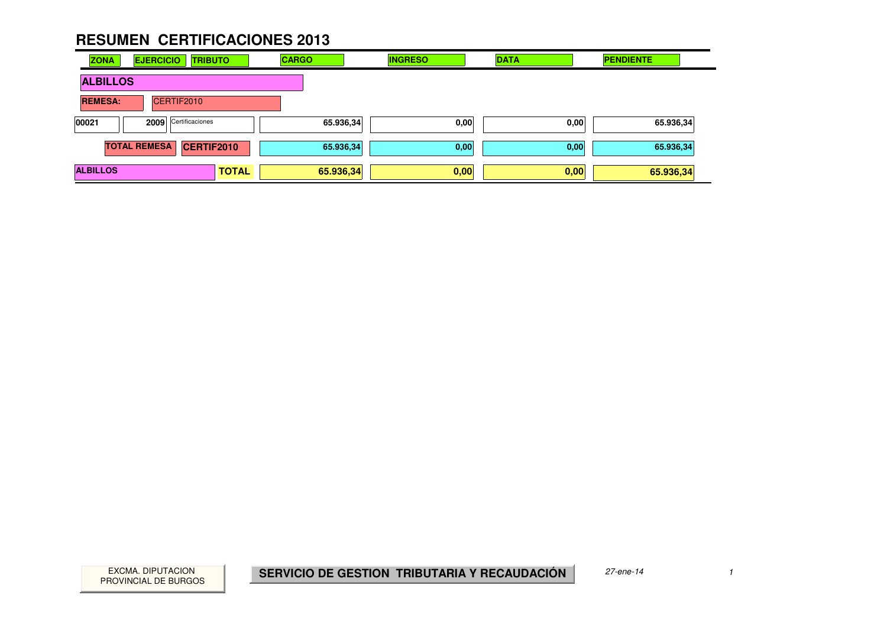| <b>ZONA</b>     | <b>EJERCICIO</b><br><b>TRIBUTO</b> |              | <b>CARGO</b> | <b>INGRESO</b> | <b>DATA</b> | <b>PENDIENTE</b> |
|-----------------|------------------------------------|--------------|--------------|----------------|-------------|------------------|
| <b>ALBILLOS</b> |                                    |              |              |                |             |                  |
| <b>REMESA:</b>  | CERTIF2010                         |              |              |                |             |                  |
| 00021           | 2009 Certificaciones               |              | 65.936,34    | 0,00           | 0,00        | 65.936,34        |
|                 | <b>TOTAL REMESA</b><br>CERTIF2010  |              | 65.936,34    | 0,00           | 0,00        | 65.936,34        |
| <b>ALBILLOS</b> |                                    | <b>TOTAL</b> | 65.936,34    | 0,00           | 0,00        | 65.936,34        |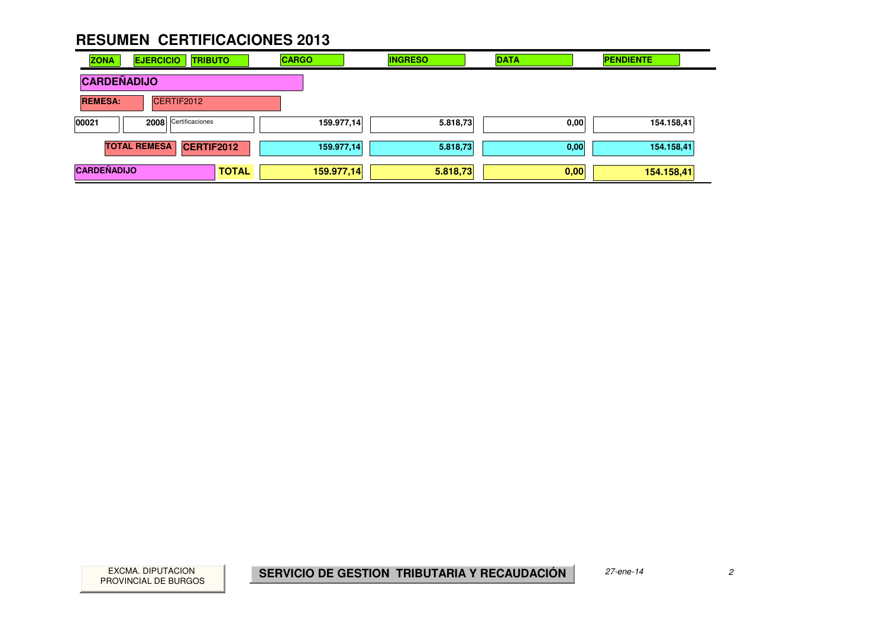| <b>ZONA</b>        | <b>EJERCICIO</b><br><b>TRIBUTO</b> |              | <b>CARGO</b> | <b>INGRESO</b> | <b>DATA</b> | <b>PENDIENTE</b> |
|--------------------|------------------------------------|--------------|--------------|----------------|-------------|------------------|
| <b>CARDEÑADIJO</b> |                                    |              |              |                |             |                  |
| <b>REMESA:</b>     | CERTIF2012                         |              |              |                |             |                  |
| 00021              | 2008 Certificaciones               |              | 159.977,14   | 5.818,73       | 0,00        | 154.158,41       |
|                    | <b>TOTAL REMESA</b><br>CERTIF2012  |              | 159.977,14   | 5.818,73       | 0,00        | 154.158,41       |
| <b>CARDEÑADIJO</b> |                                    | <b>TOTAL</b> | 159.977,14   | 5.818,73       | 0,00        | 154.158,41       |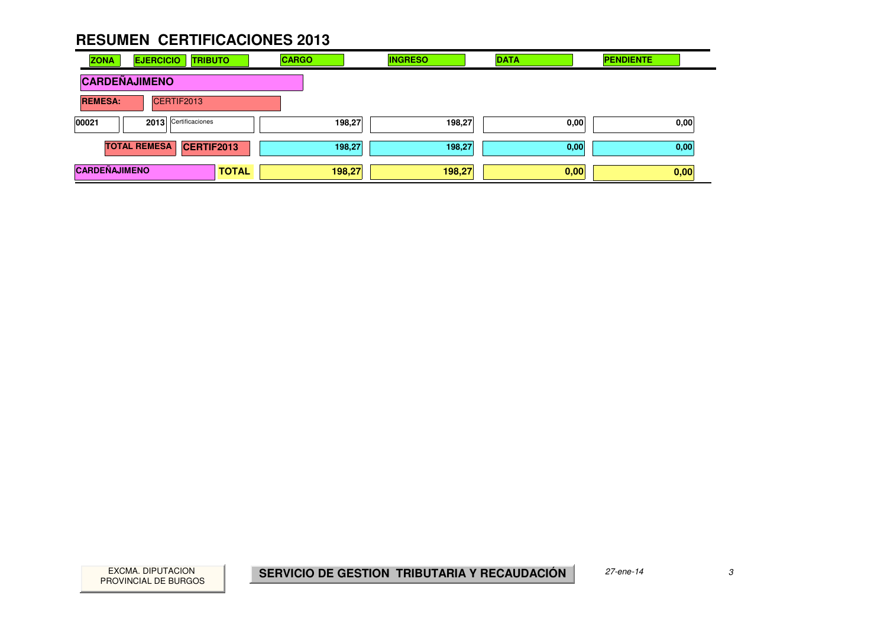| <b>ZONA</b>          | <b>EJERCICIO</b><br><b>TRIBUTO</b> |              | <b>CARGO</b> | <b>INGRESO</b> | <b>DATA</b> | <b>PENDIENTE</b> |
|----------------------|------------------------------------|--------------|--------------|----------------|-------------|------------------|
| <b>CARDEÑAJIMENO</b> |                                    |              |              |                |             |                  |
| <b>REMESA:</b>       | CERTIF2013                         |              |              |                |             |                  |
| 00021                | 2013 Certificaciones               |              | 198,27       | 198,27         | 0,00        | 0,00             |
|                      | <b>TOTAL REMESA</b><br>CERTIF2013  |              | 198,27       | 198,27         | 0,00        | 0,00             |
| <b>CARDEÑAJIMENO</b> |                                    | <b>TOTAL</b> | 198,27       | 198,27         | 0,00        | 0,00             |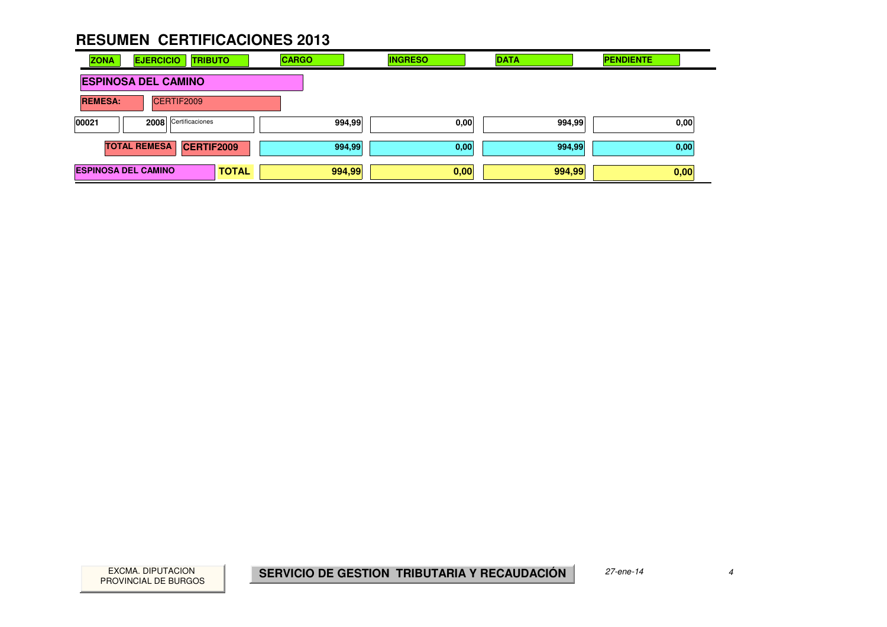| <b>ZONA</b>                | <b>EJERCICIO</b><br><b>TRIBUTO</b>       |              | <b>CARGO</b> | <b>INGRESO</b> | <b>DATA</b> | <b>PENDIENTE</b> |
|----------------------------|------------------------------------------|--------------|--------------|----------------|-------------|------------------|
|                            | <b>ESPINOSA DEL CAMINO</b>               |              |              |                |             |                  |
| <b>REMESA:</b>             | CERTIF2009                               |              |              |                |             |                  |
| 00021                      | 2008 Certificaciones                     |              | 994,99       | 0,00           | 994,99      | 0,00             |
|                            | <b>TOTAL REMESA</b><br><b>CERTIF2009</b> |              | 994,99       | 0,00           | 994,99      | 0,00             |
| <b>ESPINOSA DEL CAMINO</b> |                                          | <b>TOTAL</b> | 994,99       | 0,00           | 994,99      | 0,00             |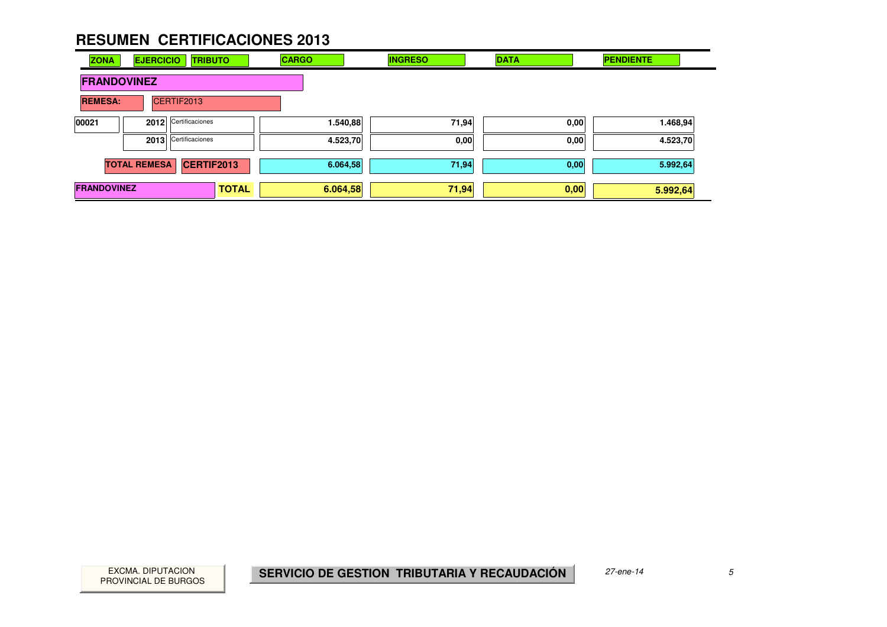| <b>ZONA</b>        | <b>EJERCICIO</b>    | <b>TRIBUTO</b>       |              | <b>CARGO</b> | <b>INGRESO</b> | <b>DATA</b> | <b>PENDIENTE</b> |
|--------------------|---------------------|----------------------|--------------|--------------|----------------|-------------|------------------|
| <b>FRANDOVINEZ</b> |                     |                      |              |              |                |             |                  |
| <b>REMESA:</b>     |                     | CERTIF2013           |              |              |                |             |                  |
| 00021              |                     | 2012 Certificaciones |              | 1.540,88     | 71,94          | 0,00        | 1.468,94         |
|                    |                     | 2013 Certificaciones |              | 4.523,70     | 0,00           | 0,00        | 4.523,70         |
|                    | <b>TOTAL REMESA</b> | CERTIF2013           |              | 6.064,58     | 71,94          | 0,00        | 5.992,64         |
| <b>FRANDOVINEZ</b> |                     |                      | <b>TOTAL</b> | 6.064,58     | 71,94          | 0,00        | 5.992,64         |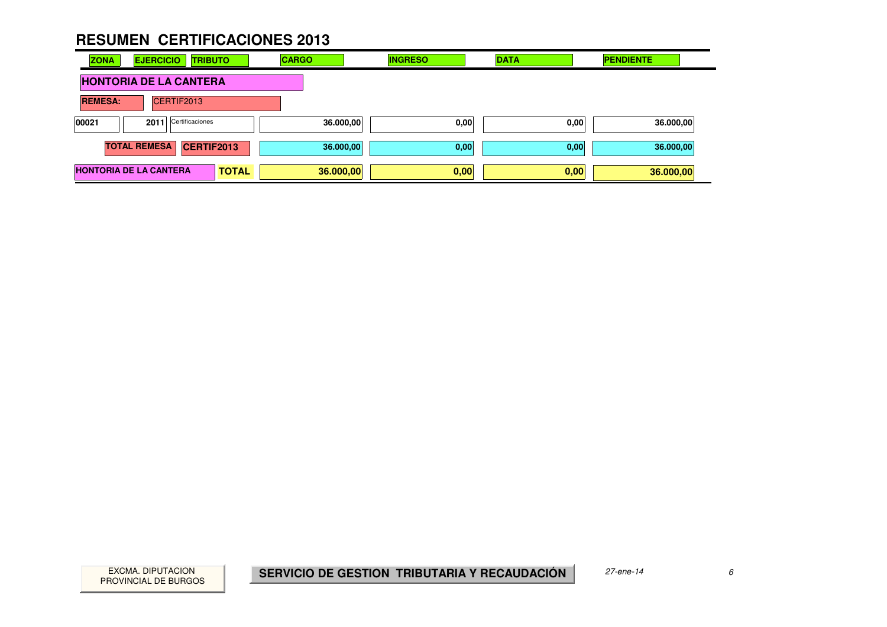| <b>ZONA</b><br><b>EJERCICIO</b><br><b>TRIBUTO</b> | <b>CARGO</b> | <b>INGRESO</b> | <b>DATA</b> | <b>PENDIENTE</b> |
|---------------------------------------------------|--------------|----------------|-------------|------------------|
| <b>HONTORIA DE LA CANTERA</b>                     |              |                |             |                  |
| CERTIF2013<br><b>REMESA:</b>                      |              |                |             |                  |
| 2011 Certificaciones<br>00021                     | 36.000,00    | 0,00           | 0,00        | 36.000,00        |
| <b>TOTAL REMESA</b><br>CERTIF2013                 | 36.000,00    | 0,00           | 0,00        | 36.000,00        |
| <b>HONTORIA DE LA CANTERA</b><br><b>TOTAL</b>     | 36.000,00    | 0,00           | 0,00        | 36.000,00        |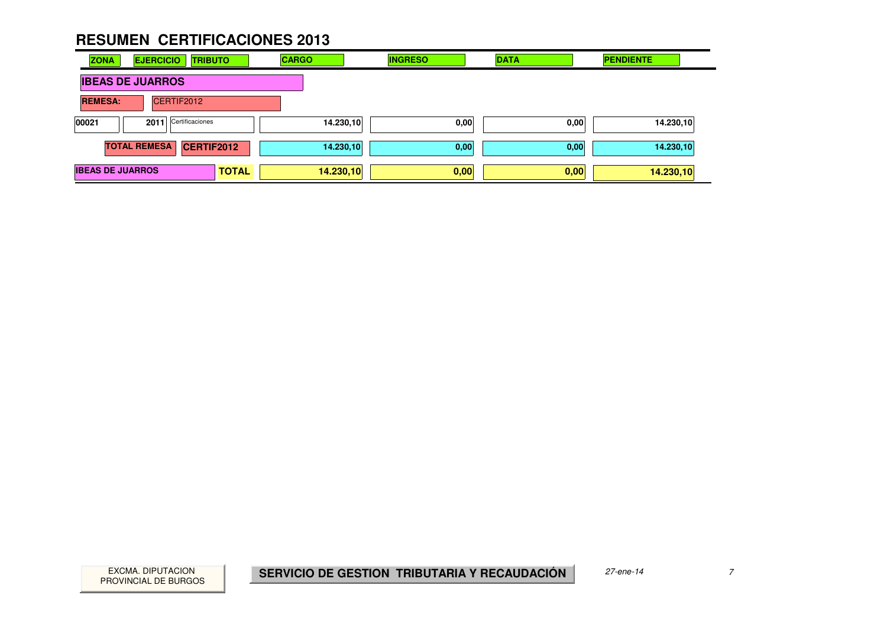| <b>ZONA</b>             | <b>EJERCICIO</b><br><b>TRIBUTO</b> |              | <b>CARGO</b> | <b>INGRESO</b> | <b>DATA</b> | <b>PENDIENTE</b> |
|-------------------------|------------------------------------|--------------|--------------|----------------|-------------|------------------|
| <b>IBEAS DE JUARROS</b> |                                    |              |              |                |             |                  |
| <b>REMESA:</b>          | CERTIF2012                         |              |              |                |             |                  |
| 00021                   | 2011 Certificaciones               |              | 14.230,10    | 0,00           | 0,00        | 14.230,10        |
| <b>TOTAL REMESA</b>     | <b>CERTIF2012</b>                  |              | 14.230,10    | 0,00           | 0,00        | 14.230,10        |
| <b>IBEAS DE JUARROS</b> |                                    | <b>TOTAL</b> | 14.230,10    | 0,00           | 0,00        | 14.230,10        |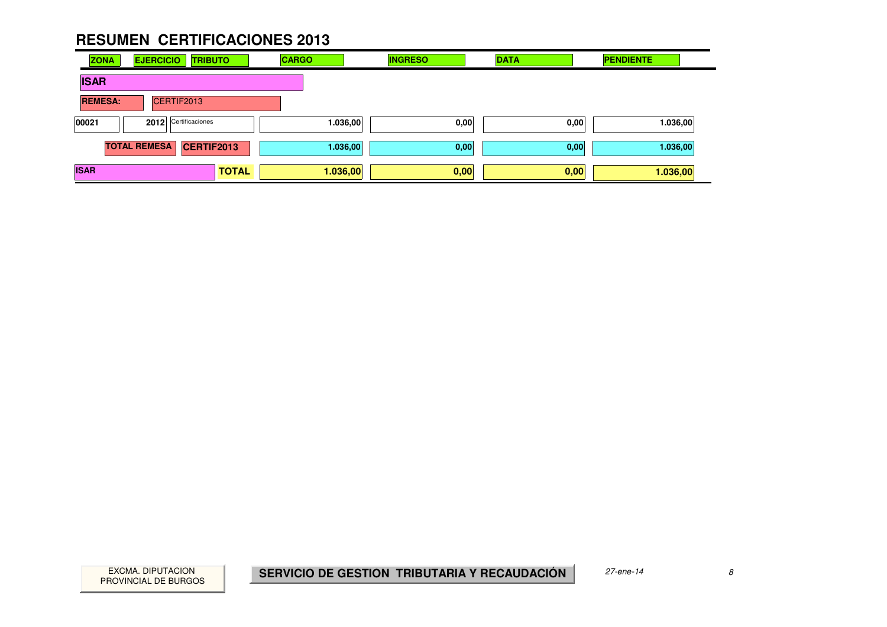| <b>ZONA</b>    | <b>EJERCICIO</b><br><b>TRIBUTO</b>       | <b>CARGO</b> | <b>INGRESO</b> | <b>DATA</b> | <b>PENDIENTE</b> |
|----------------|------------------------------------------|--------------|----------------|-------------|------------------|
| <b>ISAR</b>    |                                          |              |                |             |                  |
| <b>REMESA:</b> | CERTIF2013                               |              |                |             |                  |
| 00021          | 2012 Certificaciones                     | 1.036,00     | 0,00           | 0,00        | 1.036,00         |
|                | <b>TOTAL REMESA</b><br><b>CERTIF2013</b> | 1.036,00     | 0,00           | 0,00        | 1.036,00         |
| <b>ISAR</b>    | <b>TOTAL</b>                             | 1.036,00     | 0,00           | 0,00        | 1.036,00         |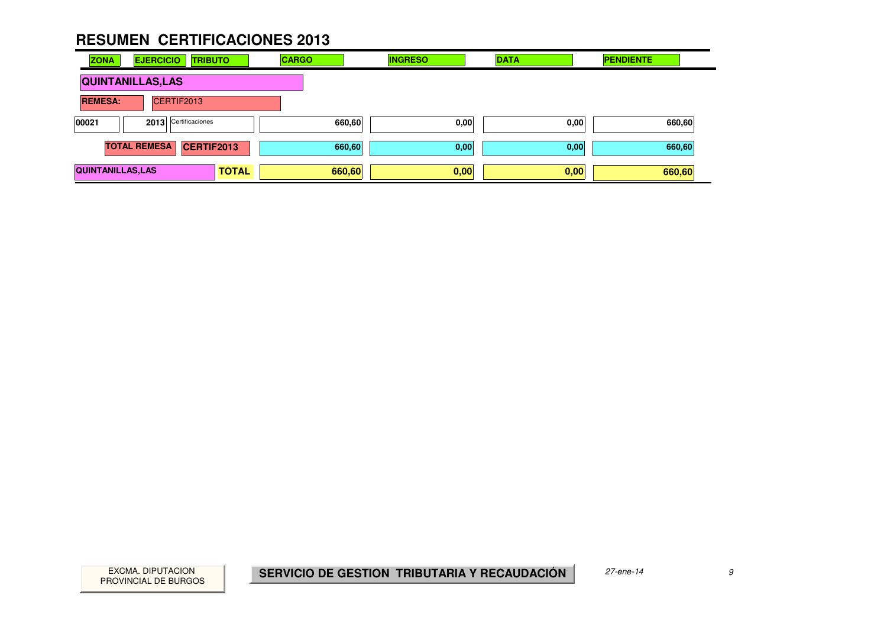| <b>ZONA</b>                   | <b>EJERCICIO</b><br><b>TRIBUTO</b>       |              | <b>CARGO</b> | <b>INGRESO</b> | <b>DATA</b> | <b>PENDIENTE</b> |
|-------------------------------|------------------------------------------|--------------|--------------|----------------|-------------|------------------|
|                               | <b>QUINTANILLAS, LAS</b>                 |              |              |                |             |                  |
| <b>REMESA:</b>                | CERTIF2013                               |              |              |                |             |                  |
| 2013 Certificaciones<br>00021 |                                          |              | 660,60       | 0,00           | 0,00        | 660,60           |
|                               | <b>TOTAL REMESA</b><br><b>CERTIF2013</b> |              | 660,60       | 0,00           | 0,00        | 660,60           |
| <b>QUINTANILLAS, LAS</b>      |                                          | <b>TOTAL</b> | 660,60       | 0,00           | 0,00        | 660,60           |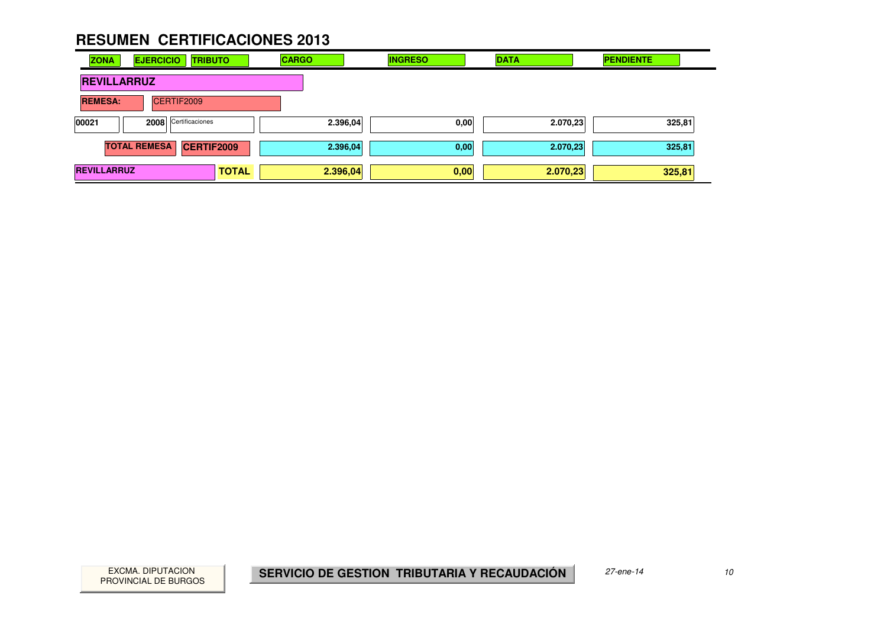| <b>ZONA</b>        | <b>EJERCICIO</b>    |            | <b>TRIBUTO</b>    |              | <b>CARGO</b> |          | <b>INGRESO</b> | <b>DATA</b> | <b>PENDIENTE</b> |  |
|--------------------|---------------------|------------|-------------------|--------------|--------------|----------|----------------|-------------|------------------|--|
| <b>REVILLARRUZ</b> |                     |            |                   |              |              |          |                |             |                  |  |
| <b>REMESA:</b>     |                     | CERTIF2009 |                   |              |              |          |                |             |                  |  |
| 00021              | 2008                |            | Certificaciones   |              |              | 2.396,04 | 0,00           | 2.070,23    | 325,81           |  |
|                    | <b>TOTAL REMESA</b> |            | <b>CERTIF2009</b> |              |              | 2.396,04 | 0,00           | 2.070,23    | 325,81           |  |
| <b>REVILLARRUZ</b> |                     |            |                   | <b>TOTAL</b> |              | 2.396,04 | 0,00           | 2.070,23    | 325,81           |  |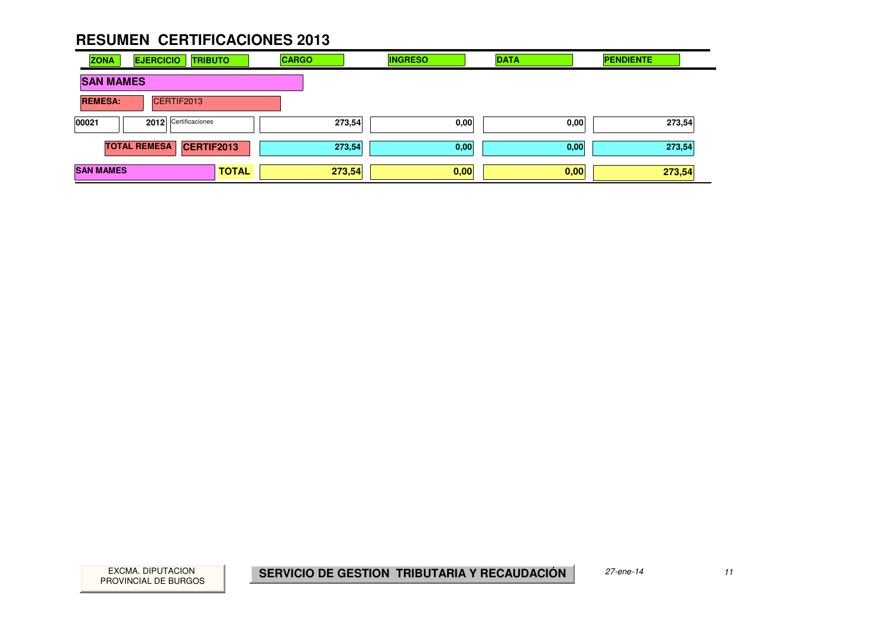| <b>ZONA</b>      | <b>EJERCICIO</b>    |                      | <b>TRIBUTO</b>    | <b>CARGO</b> |        | <b>INGRESO</b> | <b>DATA</b> |      | <b>PENDIENTE</b> |  |
|------------------|---------------------|----------------------|-------------------|--------------|--------|----------------|-------------|------|------------------|--|
| <b>SAN MAMES</b> |                     |                      |                   |              |        |                |             |      |                  |  |
| <b>REMESA:</b>   |                     | CERTIF2013           |                   |              |        |                |             |      |                  |  |
| 00021            |                     | 2012 Certificaciones |                   |              | 273,54 | 0,00           |             | 0,00 | 273,54           |  |
|                  | <b>TOTAL REMESA</b> |                      | <b>CERTIF2013</b> |              | 273,54 | 0,00           |             | 0,00 | 273,54           |  |
| <b>SAN MAMES</b> |                     |                      | <b>TOTAL</b>      |              | 273,54 | 0,00           |             | 0,00 | 273,54           |  |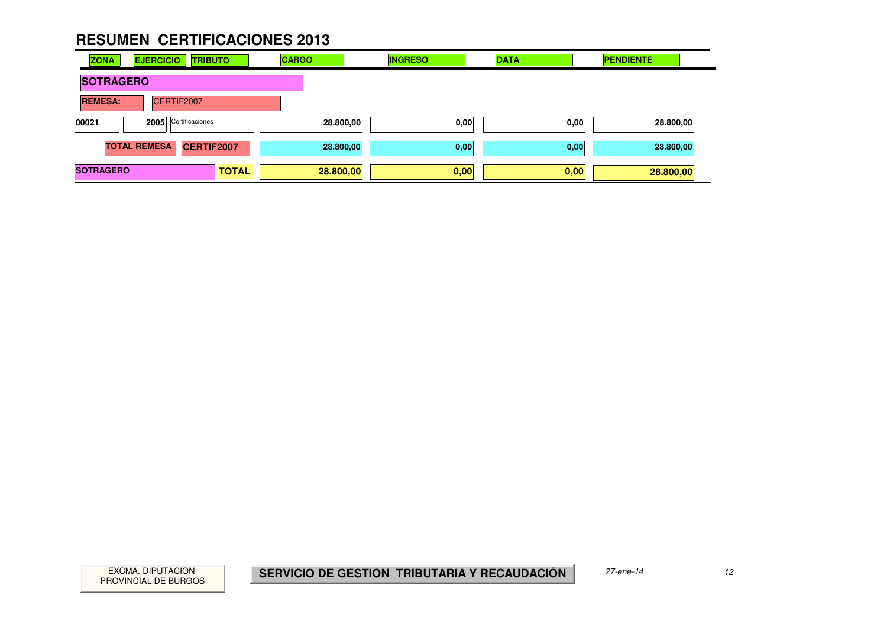| <b>ZONA</b>      | <b>EJERCICIO</b><br><b>TRIBUTO</b> |              | <b>CARGO</b> | <b>INGRESO</b> | <b>DATA</b> | <b>PENDIENTE</b> |
|------------------|------------------------------------|--------------|--------------|----------------|-------------|------------------|
| <b>SOTRAGERO</b> |                                    |              |              |                |             |                  |
| <b>REMESA:</b>   | CERTIF2007                         |              |              |                |             |                  |
| 00021            | 2005 Certificaciones               |              | 28.800,00    | 0,00           | 0,00        | 28.800,00        |
|                  | <b>TOTAL REMESA</b><br>CERTIF2007  |              | 28.800,00    | 0,00           | 0,00        | 28.800,00        |
| <b>SOTRAGERO</b> |                                    | <b>TOTAL</b> | 28.800,00    | 0,00           | 0,00        | 28.800,00        |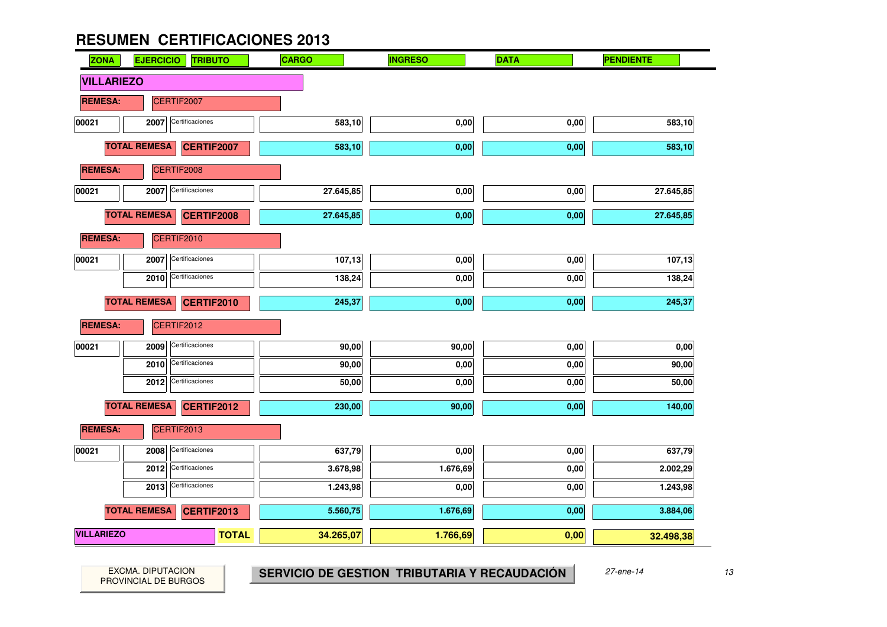

PROVINCIAL DE BURGOS

EXCMA. DIPUTACION **13 SERVICIO DE GESTION TRIBUTARIA Y RECAUDACIÓN** 27-ene-14 13<br>ROVINCIAL DE BURGOS **13**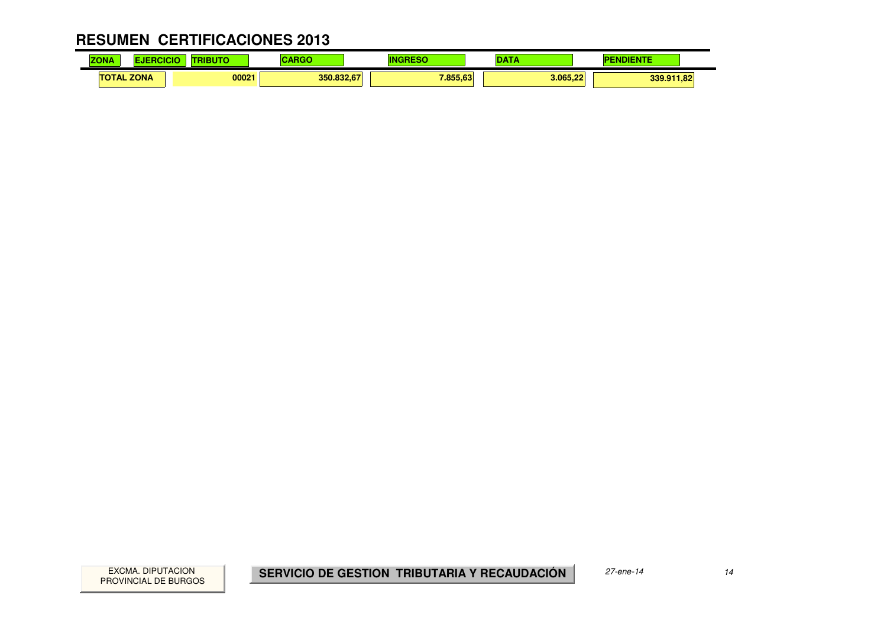#### **RESUMEN CERTIFICACIONES 2013** $\mathbf{r}$

| <b>ZONA</b> | <b>The Lines</b>  | .     | .          |          | .        | <b>The Second Second Service</b><br>. |  |
|-------------|-------------------|-------|------------|----------|----------|---------------------------------------|--|
|             | <b>TOTAL ZONA</b> | 00021 | 350.832,67 | 7.855.63 | 3.065.22 | 339.911,82                            |  |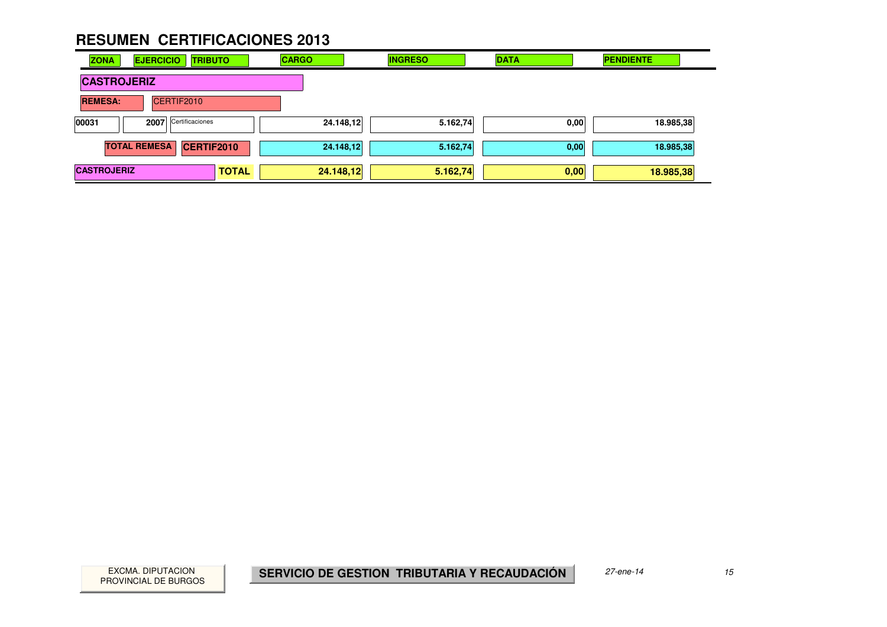| <b>ZONA</b>        | <b>EJERCICIO</b><br><b>TRIBUTO</b> |              | <b>CARGO</b> | <b>INGRESO</b> | <b>DATA</b> | <b>PENDIENTE</b> |
|--------------------|------------------------------------|--------------|--------------|----------------|-------------|------------------|
| <b>CASTROJERIZ</b> |                                    |              |              |                |             |                  |
| <b>REMESA:</b>     | CERTIF2010                         |              |              |                |             |                  |
| 00031              | 2007 Certificaciones               |              | 24.148,12    | 5.162,74       | 0,00        | 18.985,38        |
|                    | <b>TOTAL REMESA</b><br>CERTIF2010  |              | 24.148,12    | 5.162,74       | 0,00        | 18.985,38        |
| <b>CASTROJERIZ</b> |                                    | <b>TOTAL</b> | 24.148,12    | 5.162,74       | 0,00        | 18.985,38        |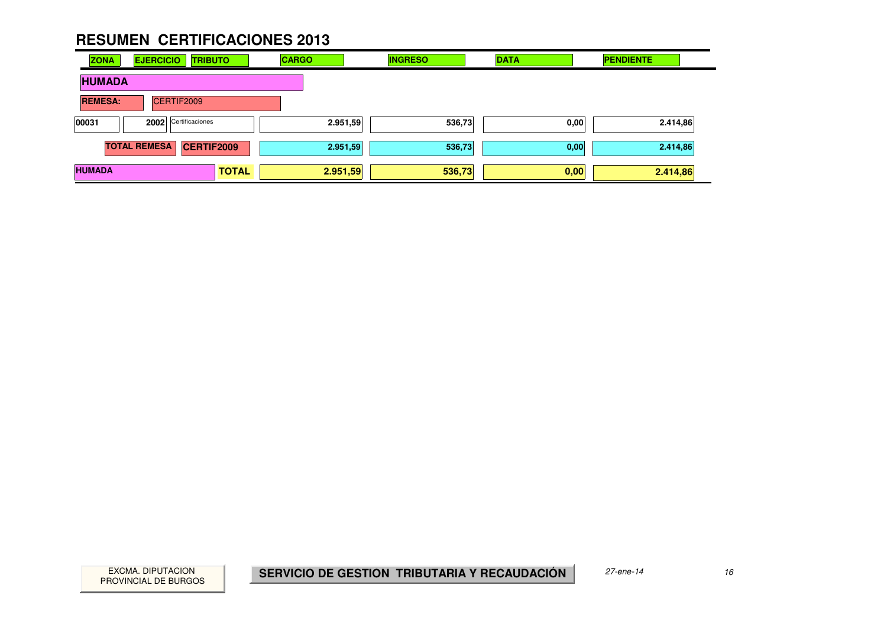| <b>ZONA</b>    | <b>EJERCICIO</b><br><b>TRIBUTO</b>       |              | <b>CARGO</b> | <b>INGRESO</b> | <b>DATA</b> | <b>PENDIENTE</b> |
|----------------|------------------------------------------|--------------|--------------|----------------|-------------|------------------|
| <b>HUMADA</b>  |                                          |              |              |                |             |                  |
| <b>REMESA:</b> | CERTIF2009                               |              |              |                |             |                  |
| 00031          | 2002 Certificaciones                     |              | 2.951,59     | 536,73         | 0,00        | 2.414,86         |
|                | <b>TOTAL REMESA</b><br><b>CERTIF2009</b> |              | 2.951,59     | 536,73         | 0,00        | 2.414,86         |
| <b>HUMADA</b>  |                                          | <b>TOTAL</b> | 2.951,59     | 536,73         | 0,00        | 2.414,86         |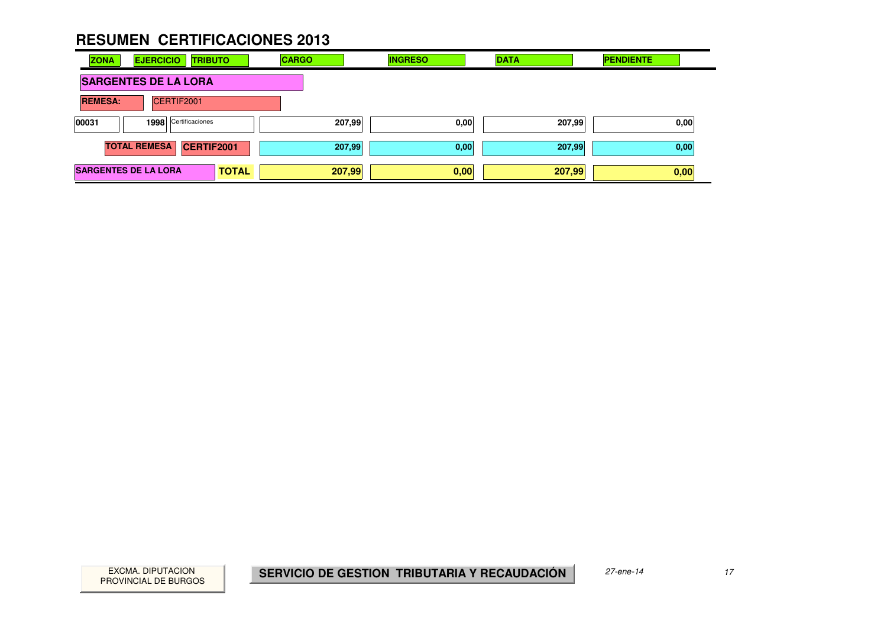| <b>ZONA</b>    | <b>EJERCICIO</b><br><b>TRIBUTO</b>       |              | <b>CARGO</b> | <b>INGRESO</b> | <b>DATA</b> | <b>PENDIENTE</b> |
|----------------|------------------------------------------|--------------|--------------|----------------|-------------|------------------|
|                | <b>SARGENTES DE LA LORA</b>              |              |              |                |             |                  |
| <b>REMESA:</b> | CERTIF2001                               |              |              |                |             |                  |
| 00031          | 1998 Certificaciones                     |              | 207,99       | 0,00           | 207,99      | 0,00             |
|                | <b>TOTAL REMESA</b><br><b>CERTIF2001</b> |              | 207,99       | 0,00           | 207,99      | 0,00             |
|                | <b>SARGENTES DE LA LORA</b>              | <b>TOTAL</b> | 207,99       | 0,00           | 207,99      | 0,00             |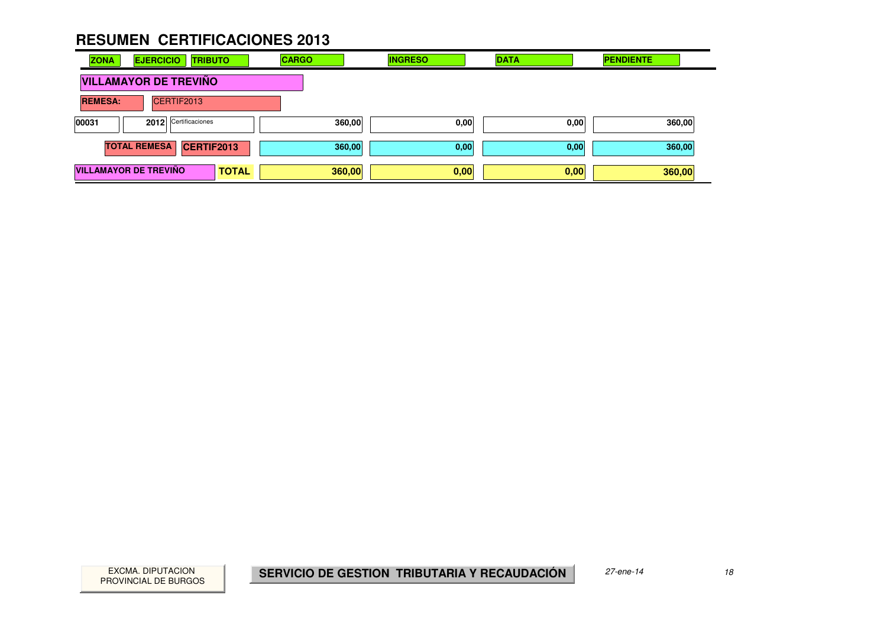| <b>ZONA</b>    | <b>EJERCICIO</b><br><b>TRIBUTO</b> |              | <b>CARGO</b> | <b>INGRESO</b> | <b>DATA</b> | <b>PENDIENTE</b> |
|----------------|------------------------------------|--------------|--------------|----------------|-------------|------------------|
|                | <b>VILLAMAYOR DE TREVIÑO</b>       |              |              |                |             |                  |
| <b>REMESA:</b> | CERTIF2013                         |              |              |                |             |                  |
| 00031          | 2012 Certificaciones               |              | 360,00       | 0,00           | 0,00        | 360,00           |
|                | <b>TOTAL REMESA</b><br>CERTIF2013  |              | 360,00       | 0,00           | 0,00        | 360,00           |
|                | <b>VILLAMAYOR DE TREVIÑO</b>       | <b>TOTAL</b> | 360,00       | 0,00           | 0,00        | 360,00           |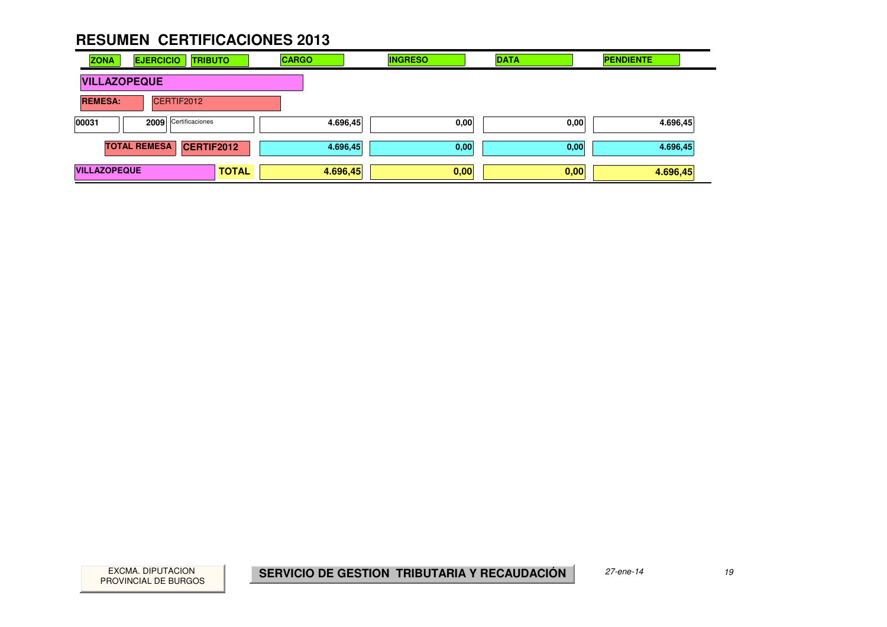| <b>ZONA</b>         | <b>EJERCICIO</b><br><b>TRIBUTO</b> |              | <b>CARGO</b> | <b>INGRESO</b> | <b>DATA</b> | <b>PENDIENTE</b> |
|---------------------|------------------------------------|--------------|--------------|----------------|-------------|------------------|
| <b>VILLAZOPEQUE</b> |                                    |              |              |                |             |                  |
| <b>REMESA:</b>      | CERTIF2012                         |              |              |                |             |                  |
| 00031               | Certificaciones<br>2009            |              | 4.696,45     | 0,00           | 0,00        | 4.696,45         |
|                     | <b>TOTAL REMESA</b><br>CERTIF2012  |              | 4.696,45     | 0,00           | 0,00        | 4.696,45         |
| <b>VILLAZOPEQUE</b> |                                    | <b>TOTAL</b> | 4.696,45     | 0,00           | 0,00        | 4.696,45         |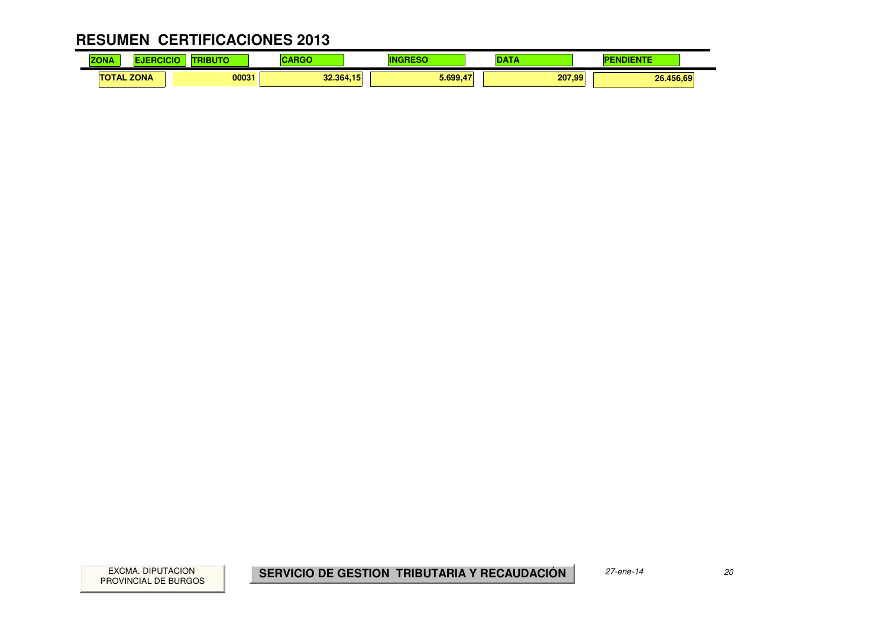#### **RESUMEN CERTIFICACIONES 2013** $\mathbf{r}$

| <b>ZONA</b>       | <b>ALCOHOL:</b><br>3 U | $\sim$ $\sim$ $\sim$ $\sim$ |          | $-$    | <b><i><u>Property</u></i></b><br>. |
|-------------------|------------------------|-----------------------------|----------|--------|------------------------------------|
| <b>TOTAL ZONA</b> |                        | 00031<br>32.364,15          | 5.699.47 | 207.99 | 26.456,69                          |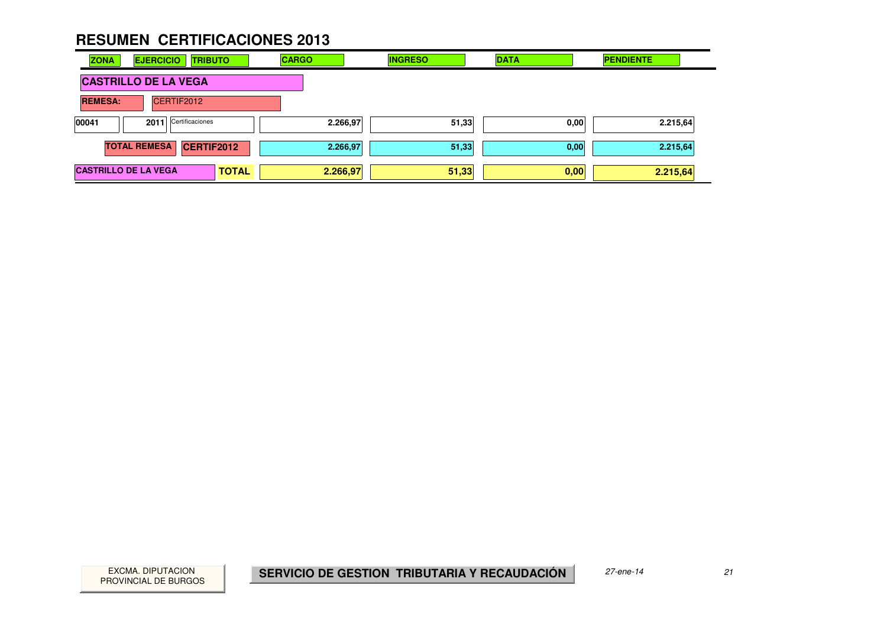| <b>ZONA</b><br><b>EJERCICIO</b> | <b>TRIBUTO</b>       | <b>CARGO</b> | <b>INGRESO</b> | <b>DATA</b> | <b>PENDIENTE</b> |
|---------------------------------|----------------------|--------------|----------------|-------------|------------------|
| <b>CASTRILLO DE LA VEGA</b>     |                      |              |                |             |                  |
| <b>REMESA:</b>                  | CERTIF2012           |              |                |             |                  |
| 00041                           | 2011 Certificaciones | 2.266,97     | 51,33          | 0,00        | 2.215,64         |
| <b>TOTAL REMESA</b>             | <b>CERTIF2012</b>    | 2.266,97     | 51,33          | 0,00        | 2.215,64         |
| <b>CASTRILLO DE LA VEGA</b>     | <b>TOTAL</b>         | 2.266,97     | 51,33          | 0,00        | 2.215,64         |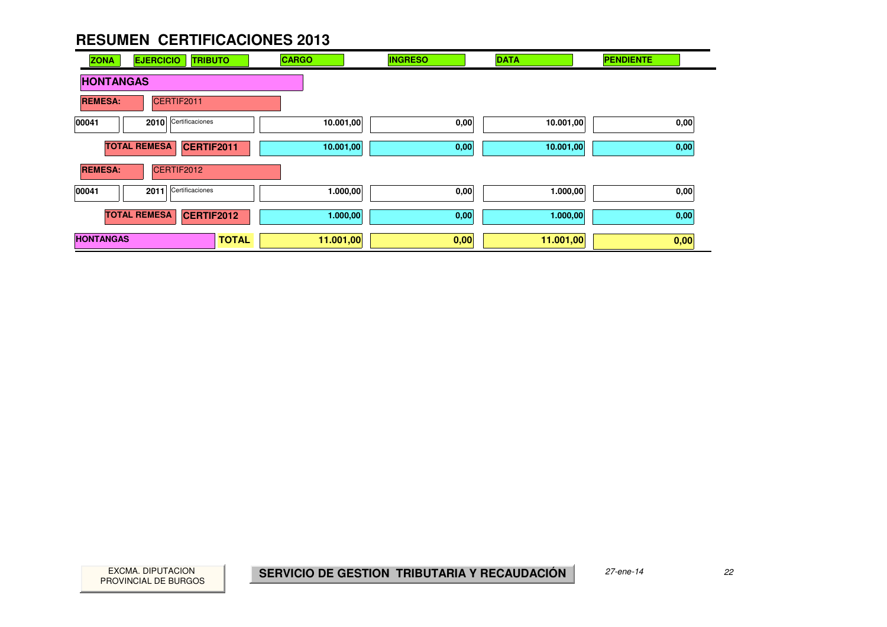| <b>EJERCICIO</b><br><b>ZONA</b><br><b>TRIBUTO</b> | <b>CARGO</b> | <b>INGRESO</b> | <b>DATA</b> | <b>PENDIENTE</b> |
|---------------------------------------------------|--------------|----------------|-------------|------------------|
| <b>HONTANGAS</b>                                  |              |                |             |                  |
| CERTIF2011<br><b>REMESA:</b>                      |              |                |             |                  |
| Certificaciones<br>00041<br>2010                  | 10.001,00    | 0,00           | 10.001,00   | 0,00             |
| <b>TOTAL REMESA</b><br>CERTIF2011                 | 10.001,00    | 0,00           | 10.001,00   | 0,00             |
| <b>REMESA:</b><br>CERTIF2012                      |              |                |             |                  |
| Certificaciones<br>00041<br>2011                  | 1.000,00     | 0,00           | 1.000,00    | 0,00             |
| <b>TOTAL REMESA</b><br>CERTIF2012                 | 1.000,00     | 0,00           | 1.000,00    | 0,00             |
| <b>HONTANGAS</b><br><b>TOTAL</b>                  | 11.001,00    | 0,00           | 11.001,00   | 0,00             |

and a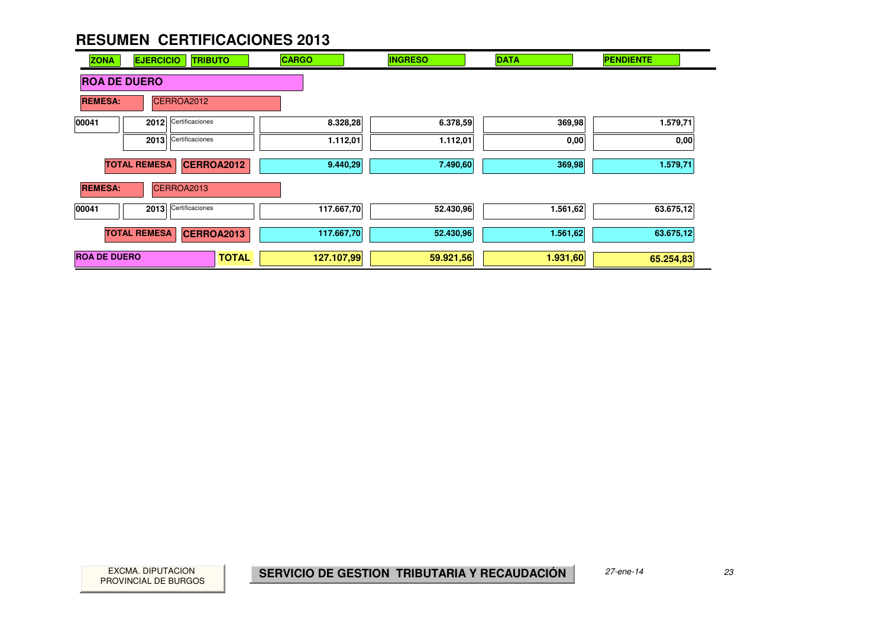| <b>ZONA</b>         | <b>EJERCICIO</b><br><b>TRIBUTO</b> | <b>CARGO</b> |            | <b>INGRESO</b> | <b>DATA</b> | <b>PENDIENTE</b> |
|---------------------|------------------------------------|--------------|------------|----------------|-------------|------------------|
| <b>ROA DE DUERO</b> |                                    |              |            |                |             |                  |
| <b>REMESA:</b>      | CERROA2012                         |              |            |                |             |                  |
| 00041               | Certificaciones<br>2012            |              | 8.328,28   | 6.378,59       | 369,98      | 1.579,71         |
|                     | Certificaciones<br>2013            |              | 1.112,01   | 1.112,01       | 0,00        | 0,00             |
|                     | <b>TOTAL REMESA</b><br>CERROA2012  |              | 9.440,29   | 7.490,60       | 369,98      | 1.579,71         |
| <b>REMESA:</b>      | CERROA2013                         |              |            |                |             |                  |
| 00041               | Certificaciones<br>2013            |              | 117.667,70 | 52.430,96      | 1.561,62    | 63.675,12        |
|                     | <b>TOTAL REMESA</b><br>CERROA2013  |              | 117.667,70 | 52.430,96      | 1.561,62    | 63.675,12        |
| <b>ROA DE DUERO</b> |                                    | <b>TOTAL</b> | 127.107,99 | 59.921,56      | 1.931,60    | 65.254,83        |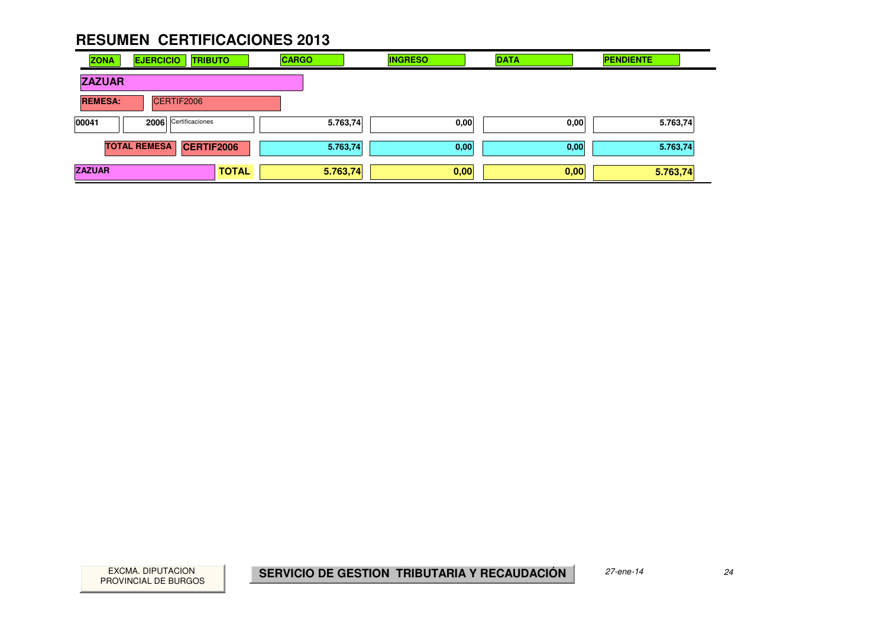| <b>ZONA</b>    | <b>EJERCICIO</b>    |            | <b>TRIBUTO</b>  |              | <b>CARGO</b> |          | <b>INGRESO</b> | <b>DATA</b> |      | <b>PENDIENTE</b> |  |
|----------------|---------------------|------------|-----------------|--------------|--------------|----------|----------------|-------------|------|------------------|--|
| <b>ZAZUAR</b>  |                     |            |                 |              |              |          |                |             |      |                  |  |
| <b>REMESA:</b> |                     | CERTIF2006 |                 |              |              |          |                |             |      |                  |  |
| 00041          | 2006                |            | Certificaciones |              |              | 5.763,74 | 0,00           |             | 0,00 | 5.763,74         |  |
|                | <b>TOTAL REMESA</b> |            | CERTIF2006      |              |              | 5.763,74 | 0,00           |             | 0,00 | 5.763,74         |  |
| <b>ZAZUAR</b>  |                     |            |                 | <b>TOTAL</b> | 5.763,74     |          | 0,00           |             | 0,00 | 5.763,74         |  |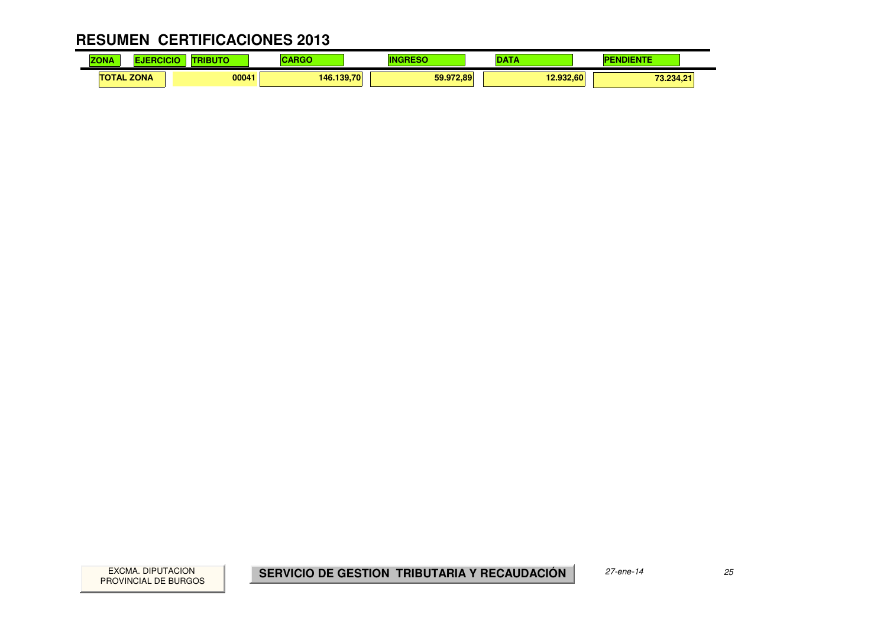| <b>ZON/</b>              | and the property | --         |           |           | .                              |
|--------------------------|------------------|------------|-----------|-----------|--------------------------------|
| <b>ZONA</b><br>ТΟ<br>TAL | 00041            | 146.139.70 | 59.972,89 | 12.932.60 | <b>70.004.01</b><br>ا ٤.٤٥٩,٤١ |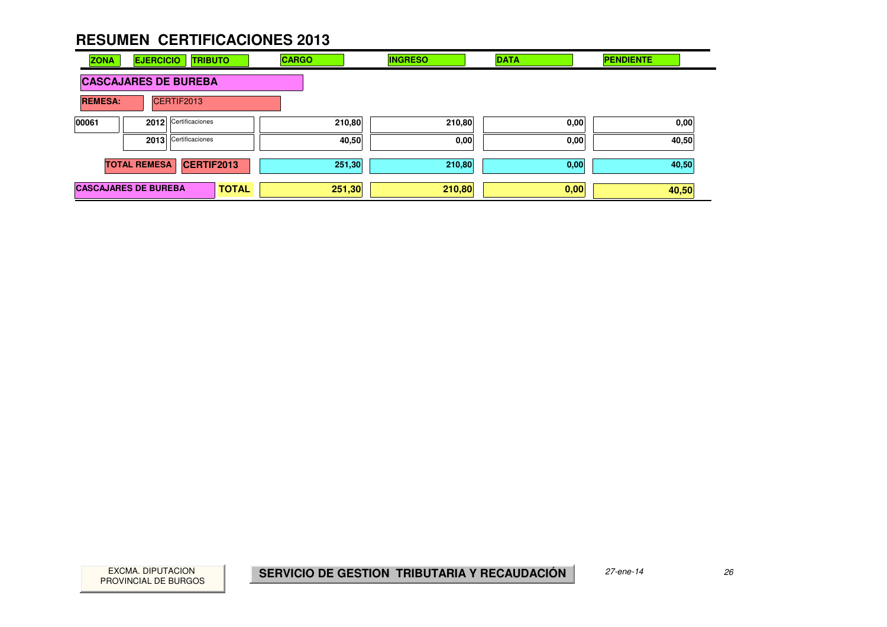| <b>ZONA</b>                 | <b>EJERCICIO</b>    | <b>TRIBUTO</b>       |              | <b>CARGO</b> | <b>INGRESO</b> | <b>DATA</b> | <b>PENDIENTE</b> |
|-----------------------------|---------------------|----------------------|--------------|--------------|----------------|-------------|------------------|
| <b>CASCAJARES DE BUREBA</b> |                     |                      |              |              |                |             |                  |
| <b>REMESA:</b>              |                     | CERTIF2013           |              |              |                |             |                  |
| 00061                       |                     | 2012 Certificaciones |              |              | 210,80         | 210,80      | 0,00<br>0,00     |
|                             |                     | 2013 Certificaciones |              |              | 40,50          | 0,00        | 0,00<br>40,50    |
|                             | <b>TOTAL REMESA</b> | CERTIF2013           |              |              | 251,30         | 210,80      | 40,50<br>0,00    |
| <b>CASCAJARES DE BUREBA</b> |                     |                      | <b>TOTAL</b> |              | 251,30         | 210,80      | 0,00<br>40,50    |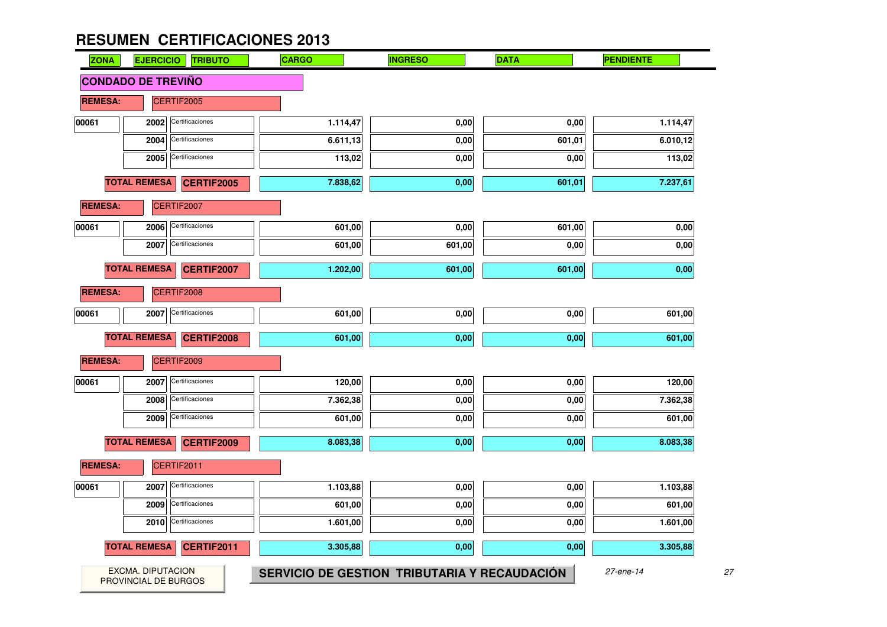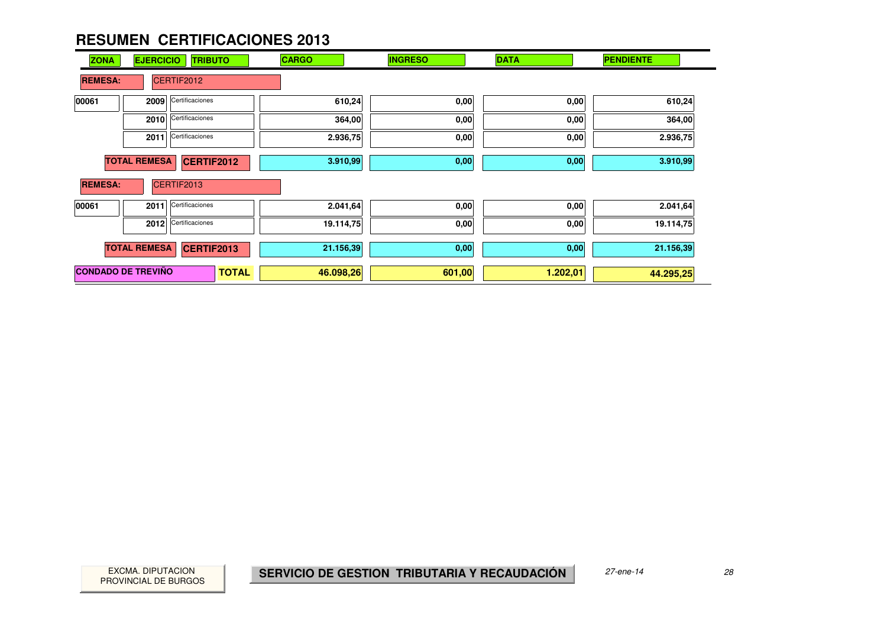| <b>ZONA</b>               | <b>EJERCICIO</b>    | <b>TRIBUTO</b>    | <b>CARGO</b> | <b>INGRESO</b> | <b>DATA</b> | <b>PENDIENTE</b> |
|---------------------------|---------------------|-------------------|--------------|----------------|-------------|------------------|
| <b>REMESA:</b>            |                     | CERTIF2012        |              |                |             |                  |
| 00061                     | 2009                | Certificaciones   | 610,24       | 0,00           | 0,00        | 610,24           |
|                           | 2010                | Certificaciones   | 364,00       | 0,00           | 0,00        | 364,00           |
|                           | 2011                | Certificaciones   | 2.936,75     | 0,00           | 0,00        | 2.936,75         |
|                           | <b>TOTAL REMESA</b> | CERTIF2012        | 3.910,99     | 0,00           | 0,00        | 3.910,99         |
| <b>REMESA:</b>            |                     | CERTIF2013        |              |                |             |                  |
| 00061                     | 2011                | Certificaciones   | 2.041,64     | 0,00           | 0,00        | 2.041,64         |
|                           | 2012                | Certificaciones   | 19.114,75    | 0,00           | 0,00        | 19.114,75        |
|                           | <b>TOTAL REMESA</b> | <b>CERTIF2013</b> | 21.156,39    | 0,00           | 0,00        | 21.156,39        |
| <b>CONDADO DE TREVIÑO</b> |                     | <b>TOTAL</b>      | 46.098,26    | 601,00         | 1.202,01    | 44.295,25        |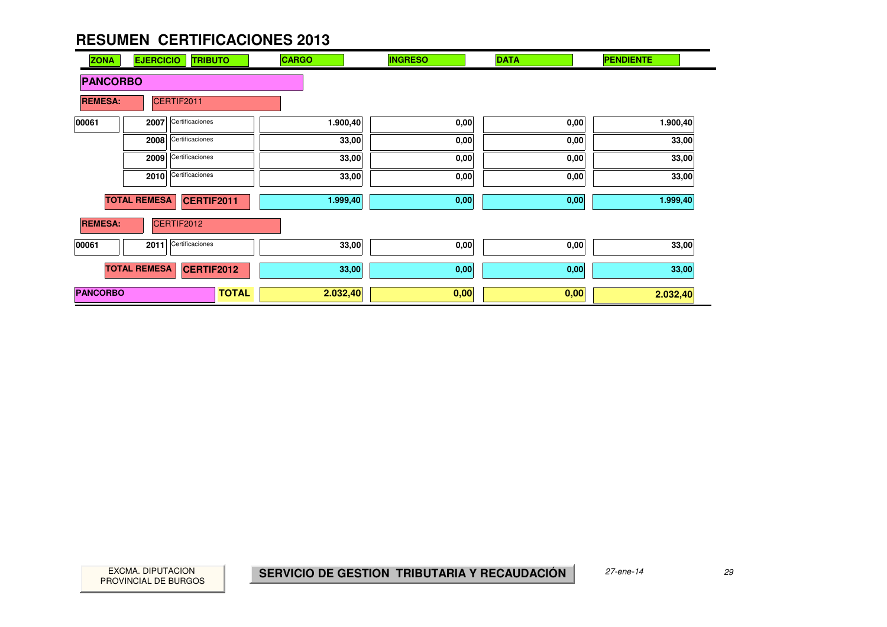| <b>ZONA</b>     | <b>EJERCICIO</b>    | <b>TRIBUTO</b>    | <b>CARGO</b> |          | <b>INGRESO</b> | <b>DATA</b> | <b>PENDIENTE</b> |
|-----------------|---------------------|-------------------|--------------|----------|----------------|-------------|------------------|
| <b>PANCORBO</b> |                     |                   |              |          |                |             |                  |
| <b>REMESA:</b>  |                     | CERTIF2011        |              |          |                |             |                  |
| 00061           | 2007                | Certificaciones   |              | 1.900,40 | 0,00           | 0,00        | 1.900,40         |
|                 | 2008                | Certificaciones   |              | 33,00    | 0,00           | 0,00        | 33,00            |
|                 | 2009                | Certificaciones   |              | 33,00    | 0,00           | 0,00        | 33,00            |
|                 | 2010                | Certificaciones   |              | 33,00    | 0,00           | 0,00        | 33,00            |
|                 | <b>TOTAL REMESA</b> | CERTIF2011        |              | 1.999,40 | 0,00           | 0,00        | 1.999,40         |
| <b>REMESA:</b>  |                     | CERTIF2012        |              |          |                |             |                  |
| 00061           | 2011                | Certificaciones   |              | 33,00    | 0,00           | 0,00        | 33,00            |
|                 | <b>TOTAL REMESA</b> | <b>CERTIF2012</b> |              | 33,00    | 0,00           | 0,00        | 33,00            |
| <b>PANCORBO</b> |                     |                   | <b>TOTAL</b> | 2.032,40 | 0,00           | 0,00        | 2.032,40         |

PROVINCIAL DE BURGOS

 $\sim$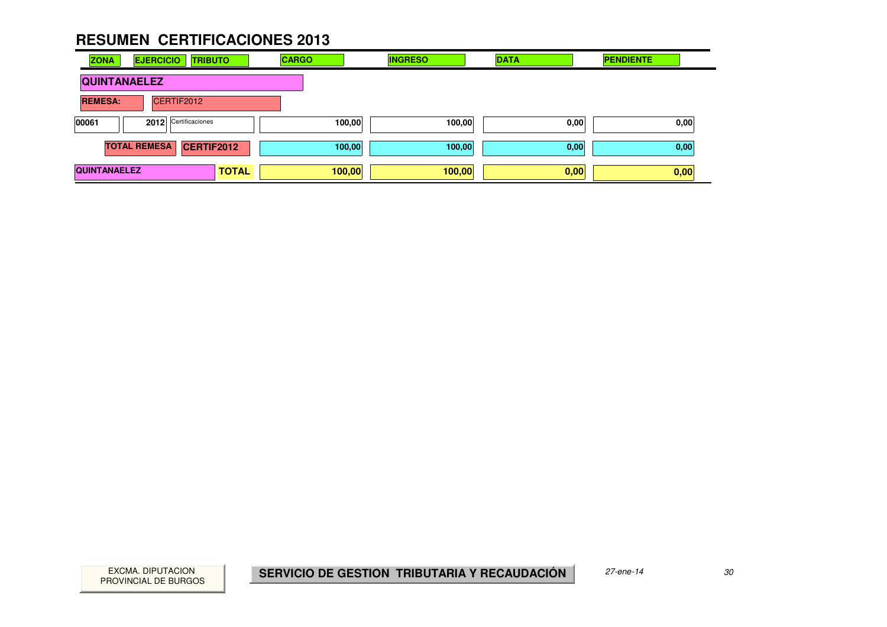| <b>ZONA</b>                   | <b>EJERCICIO</b><br><b>TRIBUTO</b>       |              | <b>CARGO</b> | <b>INGRESO</b> | <b>DATA</b> | <b>PENDIENTE</b> |
|-------------------------------|------------------------------------------|--------------|--------------|----------------|-------------|------------------|
| <b>QUINTANAELEZ</b>           |                                          |              |              |                |             |                  |
| CERTIF2012<br><b>REMESA:</b>  |                                          |              |              |                |             |                  |
| 2012 Certificaciones<br>00061 |                                          |              | 100,00       | 100,00         | 0,00        | 0,00             |
|                               | <b>TOTAL REMESA</b><br><b>CERTIF2012</b> |              | 100,00       | 100,00         | 0,00        | 0,00             |
| <b>QUINTANAELEZ</b>           |                                          | <b>TOTAL</b> | 100,00       | 100,00         | 0,00        | 0,00             |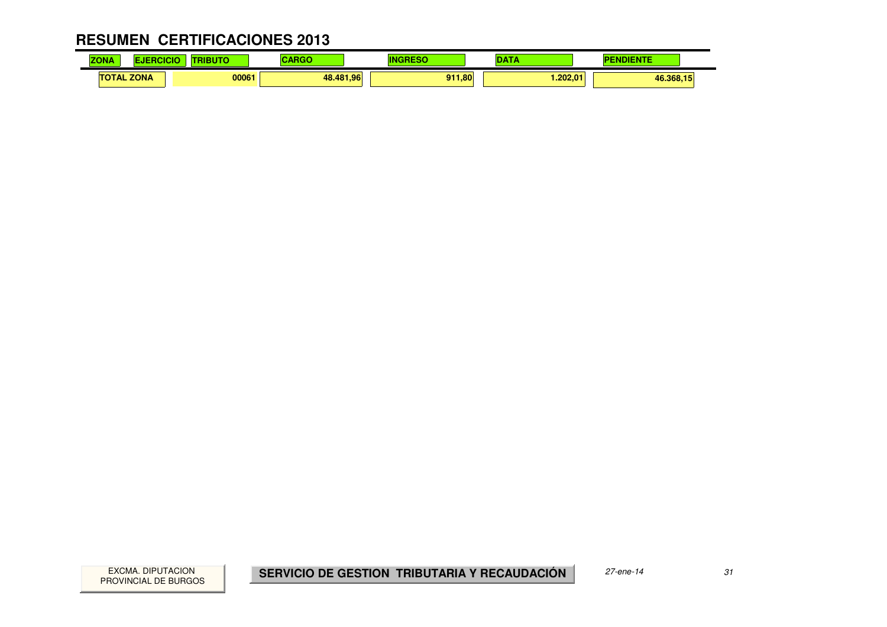#### **RESUMEN CERTIFICACIONES 2013** $\mathbf{r}$

| 70M<br>NÆ<br>zv | . .         | .     | $ -$      | m                                     | . .     |           |
|-----------------|-------------|-------|-----------|---------------------------------------|---------|-----------|
| ΤО<br>TAL       | <b>ZONA</b> | 00061 | 48.481.96 | $-01$<br>$\mathsf{J11.80}^\textsf{T}$ | .202.01 | 46.368,15 |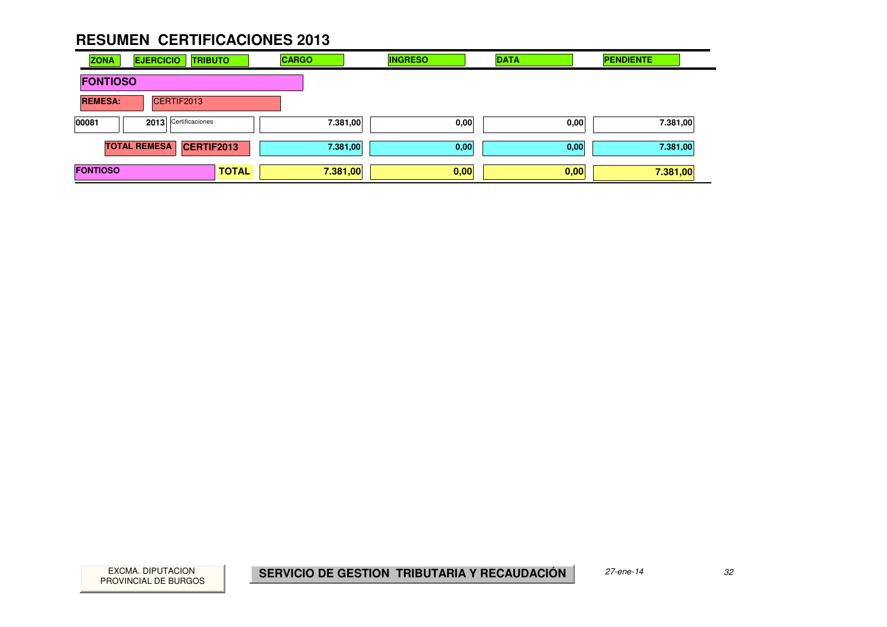| <b>ZONA</b>                  | <b>EJERCICIO</b><br><b>TRIBUTO</b> |              | <b>CARGO</b> | <b>INGRESO</b> | <b>DATA</b> | <b>PENDIENTE</b> |
|------------------------------|------------------------------------|--------------|--------------|----------------|-------------|------------------|
| <b>FONTIOSO</b>              |                                    |              |              |                |             |                  |
| CERTIF2013<br><b>REMESA:</b> |                                    |              |              |                |             |                  |
| 00081                        | 2013 Certificaciones               |              | 7.381,00     | 0,00           | 0,00        | 7.381,00         |
|                              | <b>TOTAL REMESA</b><br>CERTIF2013  |              | 7.381,00     | 0,00           | 0,00        | 7.381,00         |
| <b>FONTIOSO</b>              |                                    | <b>TOTAL</b> | 7.381,00     | 0,00           | 0,00        | 7.381,00         |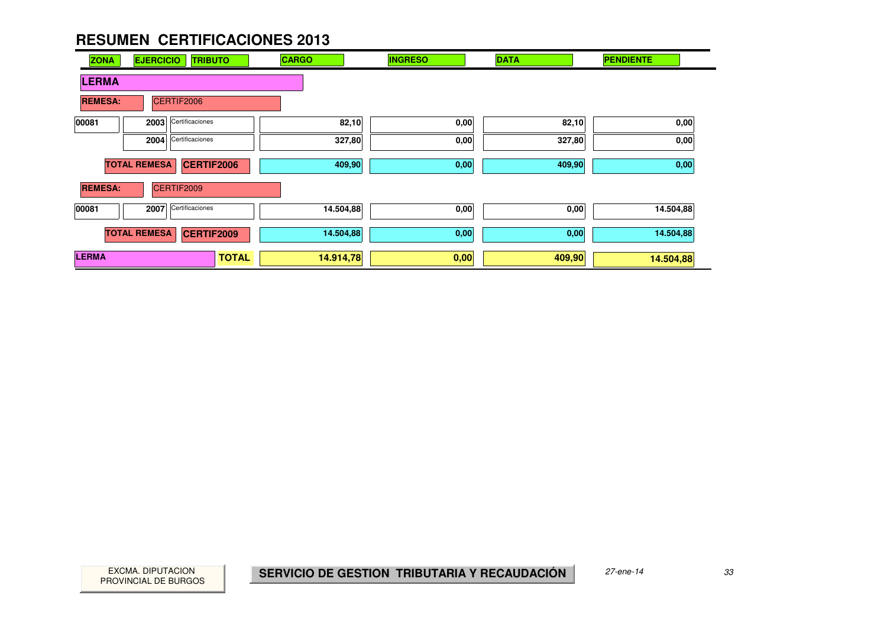| <b>ZONA</b>                  | <b>EJERCICIO</b><br><b>TRIBUTO</b>       |              | <b>CARGO</b> | <b>INGRESO</b> | <b>DATA</b> | <b>PENDIENTE</b> |
|------------------------------|------------------------------------------|--------------|--------------|----------------|-------------|------------------|
| <b>LERMA</b>                 |                                          |              |              |                |             |                  |
| CERTIF2006<br><b>REMESA:</b> |                                          |              |              |                |             |                  |
| 00081                        | Certificaciones<br>2003                  |              | 82,10        | 0,00           | 82,10       | 0,00             |
|                              | Certificaciones<br>2004                  |              | 327,80       | 0,00           | 327,80      | 0,00             |
|                              | <b>TOTAL REMESA</b><br>CERTIF2006        |              | 409,90       | 0,00           | 409,90      | 0,00             |
| <b>REMESA:</b>               | CERTIF2009                               |              |              |                |             |                  |
| 00081                        | Certificaciones<br>2007                  |              | 14.504,88    | 0,00           | 0,00        | 14.504,88        |
|                              | <b>TOTAL REMESA</b><br><b>CERTIF2009</b> |              | 14.504,88    | 0,00           | 0,00        | 14.504,88        |
| <b>LERMA</b>                 |                                          | <b>TOTAL</b> | 14.914,78    | 0,00           | 409,90      | 14.504,88        |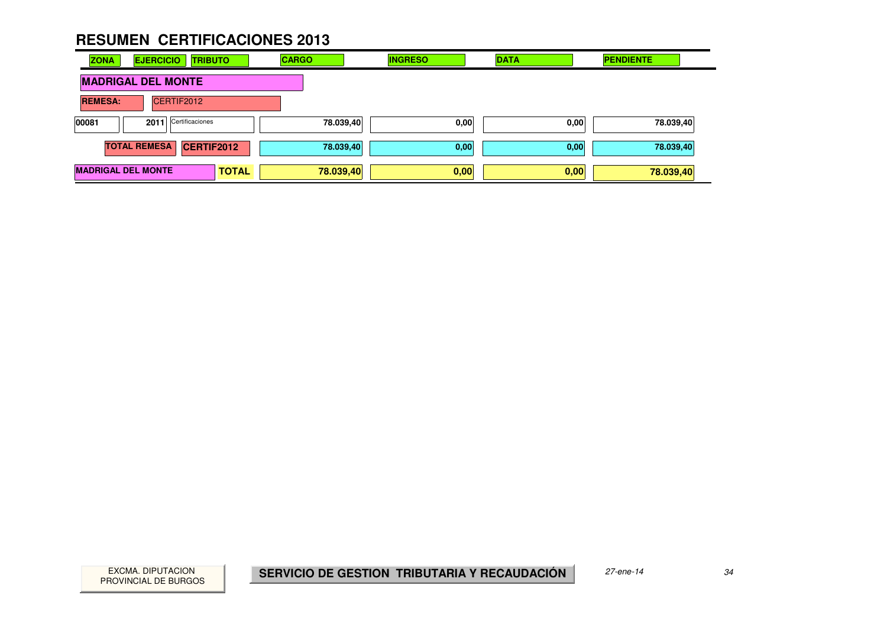| <b>ZONA</b>               | <b>EJERCICIO</b><br><b>TRIBUTO</b> |              | <b>CARGO</b> | <b>INGRESO</b> | <b>DATA</b> | <b>PENDIENTE</b> |
|---------------------------|------------------------------------|--------------|--------------|----------------|-------------|------------------|
| <b>MADRIGAL DEL MONTE</b> |                                    |              |              |                |             |                  |
| <b>REMESA:</b>            | CERTIF2012                         |              |              |                |             |                  |
| 00081                     | 2011 Certificaciones               |              | 78.039,40    | 0,00           | 0,00        | 78.039,40        |
|                           | <b>TOTAL REMESA</b><br>CERTIF2012  |              | 78.039,40    | 0,00           | 0,00        | 78.039,40        |
| <b>MADRIGAL DEL MONTE</b> |                                    | <b>TOTAL</b> | 78.039,40    | 0,00           | 0,00        | 78.039,40        |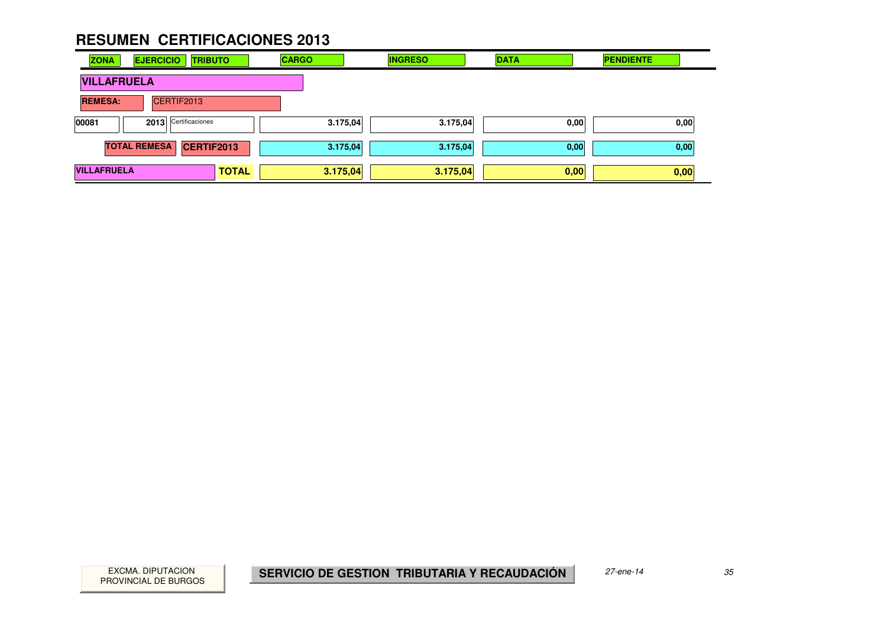| <b>ZONA</b>        | <b>EJERCICIO</b><br><b>TRIBUTO</b> |              | <b>CARGO</b> | <b>INGRESO</b> | <b>DATA</b> | <b>PENDIENTE</b> |
|--------------------|------------------------------------|--------------|--------------|----------------|-------------|------------------|
|                    | <b>VILLAFRUELA</b>                 |              |              |                |             |                  |
| <b>REMESA:</b>     | CERTIF2013                         |              |              |                |             |                  |
| 00081              | 2013 Certificaciones               |              | 3.175,04     | 3.175,04       | 0,00        | 0,00             |
|                    | <b>TOTAL REMESA</b><br>CERTIF2013  |              | 3.175,04     | 3.175,04       | 0,00        | 0,00             |
| <b>VILLAFRUELA</b> |                                    | <b>TOTAL</b> | 3.175,04     | 3.175,04       | 0,00        | 0,00             |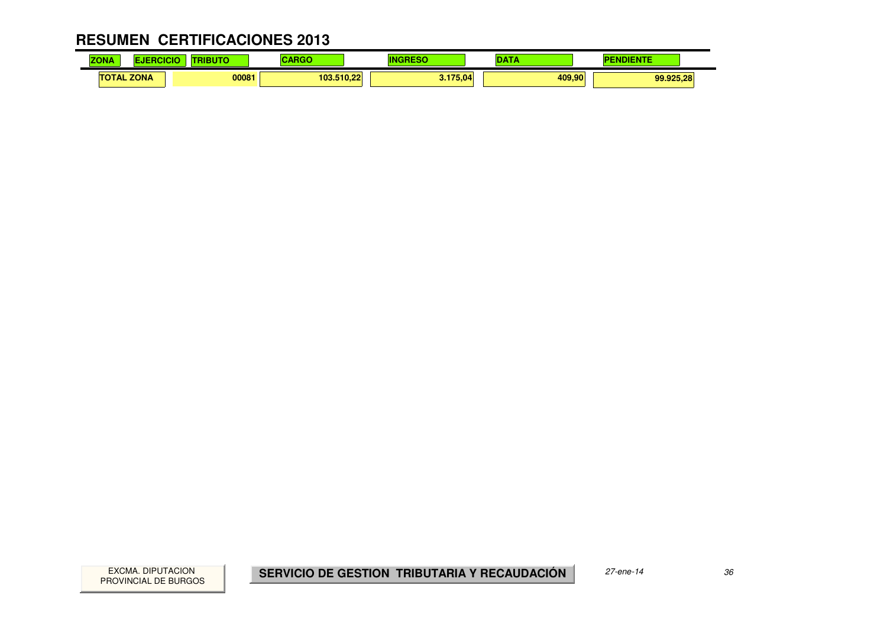| .<br><b>ZO</b><br>. |             | and a street | <b>BAA</b> |          |        | $-1$      |
|---------------------|-------------|--------------|------------|----------|--------|-----------|
| ТΟ<br>IAL           | <b>ZONA</b> | 00081        | 103.510.22 | 3.175,04 | 409.90 | 99.925,28 |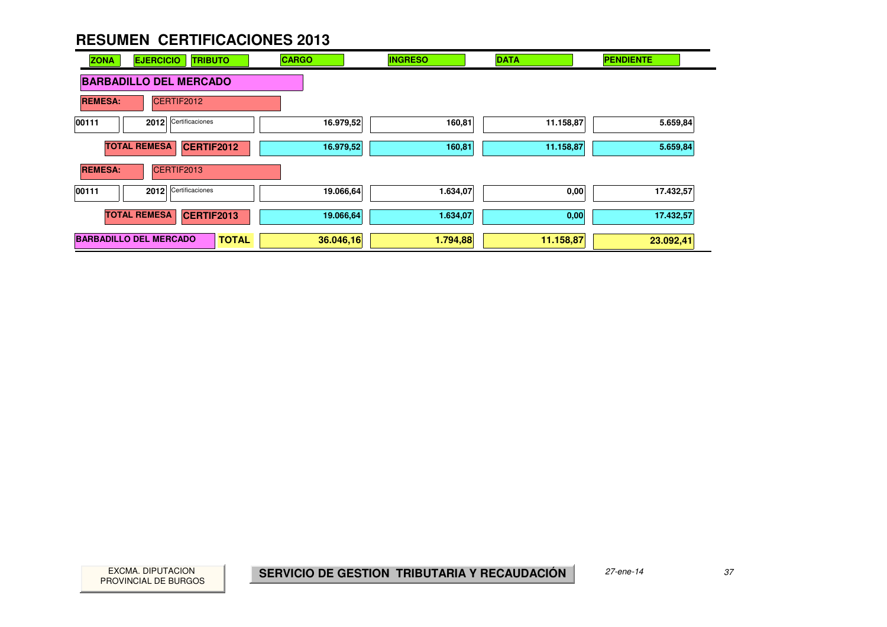

PROVINCIAL DE BURGOS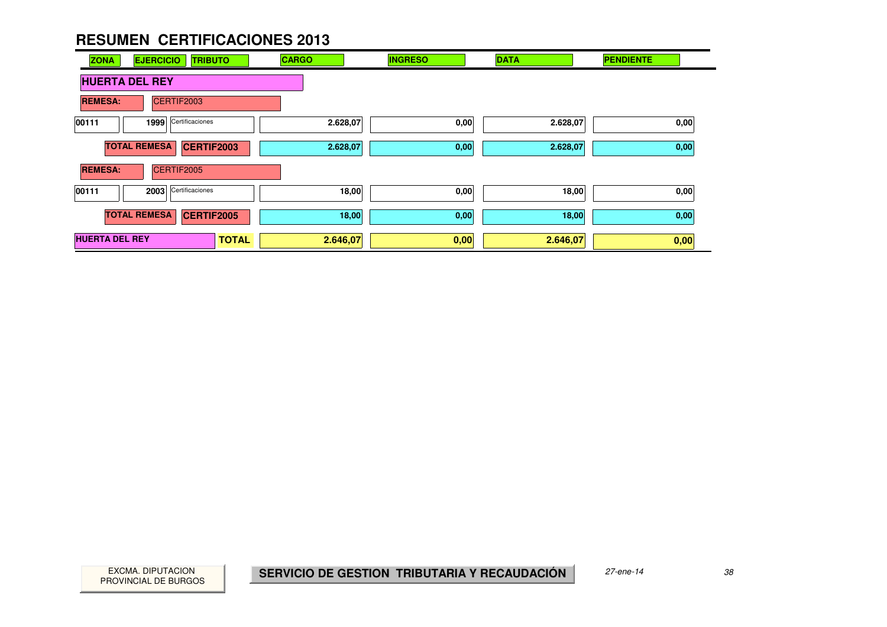| <b>ZONA</b><br><b>EJERCICIO</b><br><b>TRIBUTO</b> | <b>CARGO</b> | <b>INGRESO</b> | <b>DATA</b> | <b>PENDIENTE</b> |
|---------------------------------------------------|--------------|----------------|-------------|------------------|
| <b>HUERTA DEL REY</b>                             |              |                |             |                  |
| CERTIF2003<br><b>REMESA:</b>                      |              |                |             |                  |
| Certificaciones<br>00111<br>1999                  | 2.628,07     | 0,00           | 2.628,07    | 0,00             |
| <b>TOTAL REMESA</b><br>CERTIF2003                 | 2.628,07     | 0,00           | 2.628,07    | 0,00             |
| <b>REMESA:</b><br>CERTIF2005                      |              |                |             |                  |
| Certificaciones<br>00111<br>2003                  | 18,00        | 0,00           | 18,00       | 0,00             |
| <b>TOTAL REMESA</b><br><b>CERTIF2005</b>          | 18,00        | 0,00           | 18,00       | 0,00             |
| <b>HUERTA DEL REY</b><br><b>TOTAL</b>             | 2.646,07     | 0,00           | 2.646,07    | 0,00             |

PROVINCIAL DE BURGOS

and a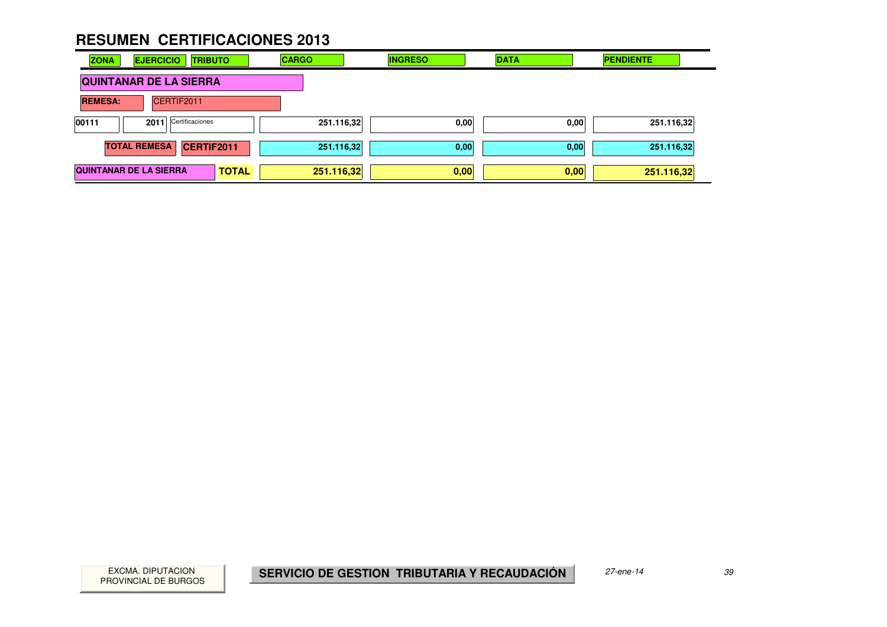| <b>ZONA</b>                   | <b>EJERCICIO</b><br><b>TRIBUTO</b> |              | <b>CARGO</b> | <b>INGRESO</b> | <b>DATA</b> | <b>PENDIENTE</b> |
|-------------------------------|------------------------------------|--------------|--------------|----------------|-------------|------------------|
| <b>QUINTANAR DE LA SIERRA</b> |                                    |              |              |                |             |                  |
| <b>REMESA:</b>                | CERTIF2011                         |              |              |                |             |                  |
| 00111                         | 2011 Certificaciones               |              | 251.116,32   | 0,00           | 0,00        | 251.116,32       |
|                               | <b>TOTAL REMESA</b><br>CERTIF2011  |              | 251.116,32   | 0,00           | 0,00        | 251.116,32       |
|                               | <b>QUINTANAR DE LA SIERRA</b>      | <b>TOTAL</b> | 251.116,32   | 0,00           | 0,00        | 251.116,32       |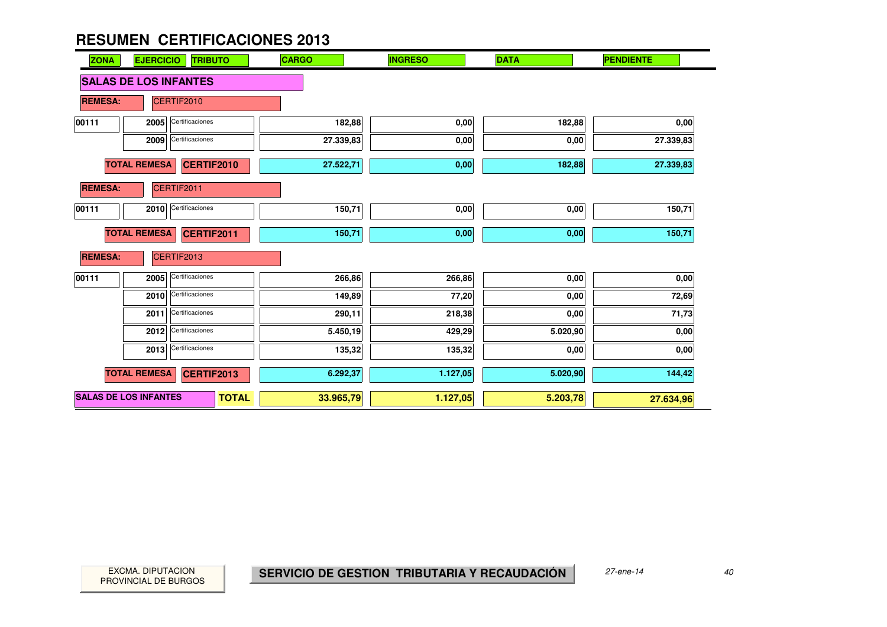| <b>ZONA</b>                       | <b>EJERCICIO</b>    | <b>TRIBUTO</b>               | <b>CARGO</b> | <b>INGRESO</b> | <b>DATA</b> | <b>PENDIENTE</b> |
|-----------------------------------|---------------------|------------------------------|--------------|----------------|-------------|------------------|
|                                   |                     | <b>SALAS DE LOS INFANTES</b> |              |                |             |                  |
| <b>REMESA:</b>                    |                     | CERTIF2010                   |              |                |             |                  |
| 00111                             | 2005                | Certificaciones              | 182,88       | 0,00           | 182,88      | 0,00             |
|                                   | 2009                | Certificaciones              | 27.339,83    | 0,00           | 0,00        | 27.339,83        |
|                                   | <b>TOTAL REMESA</b> | <b>CERTIF2010</b>            | 27.522,71    | 0,00           | 182,88      | 27.339,83        |
| <b>REMESA:</b>                    |                     | CERTIF2011                   |              |                |             |                  |
| 00111                             | 2010                | Certificaciones              | 150,71       | 0,00           | 0,00        | 150,71           |
| <b>TOTAL REMESA</b><br>CERTIF2011 |                     |                              | 150,71       | 0,00           | 0,00        | 150,71           |
| <b>REMESA:</b>                    |                     | CERTIF2013                   |              |                |             |                  |
| 00111                             | 2005                | Certificaciones              | 266,86       | 266,86         | 0,00        | 0,00             |
|                                   | 2010                | Certificaciones              | 149,89       | 77,20          | 0,00        | 72,69            |
|                                   | 2011                | Certificaciones              | 290,11       | 218,38         | 0,00        | 71,73            |
|                                   | 2012                | Certificaciones              | 5.450,19     | 429,29         | 5.020,90    | 0,00             |
|                                   | 2013                | Certificaciones              | 135,32       | 135,32         | 0,00        | 0,00             |
|                                   | <b>TOTAL REMESA</b> | <b>CERTIF2013</b>            | 6.292,37     | 1.127,05       | 5.020,90    | 144,42           |
| <b>SALAS DE LOS INFANTES</b>      |                     | <b>TOTAL</b>                 | 33.965,79    | 1.127,05       | 5.203,78    | 27.634,96        |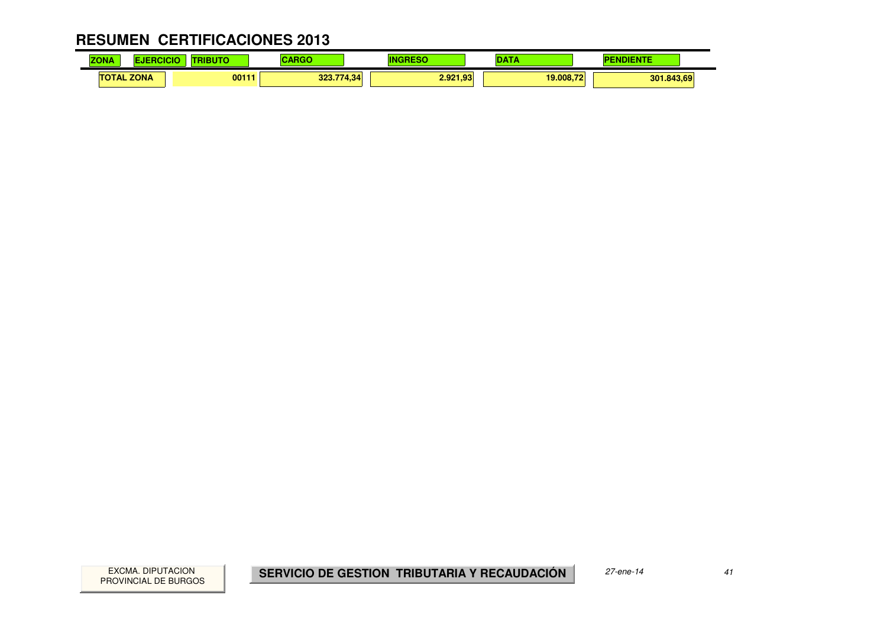#### **RESUMEN CERTIFICACIONES 2013** $\mathbf{r}$

| <b>ZONA</b>       | œ<br>ш | <b>STILL</b> | $\sim$ $\sim$ $\sim$<br>. . | m                   | ---       | $\sim$     |
|-------------------|--------|--------------|-----------------------------|---------------------|-----------|------------|
| <b>TOTAL ZONA</b> |        | 00111        | 323.77                      | 2.921.93<br>.774.34 | 19.008.72 | 301.843,69 |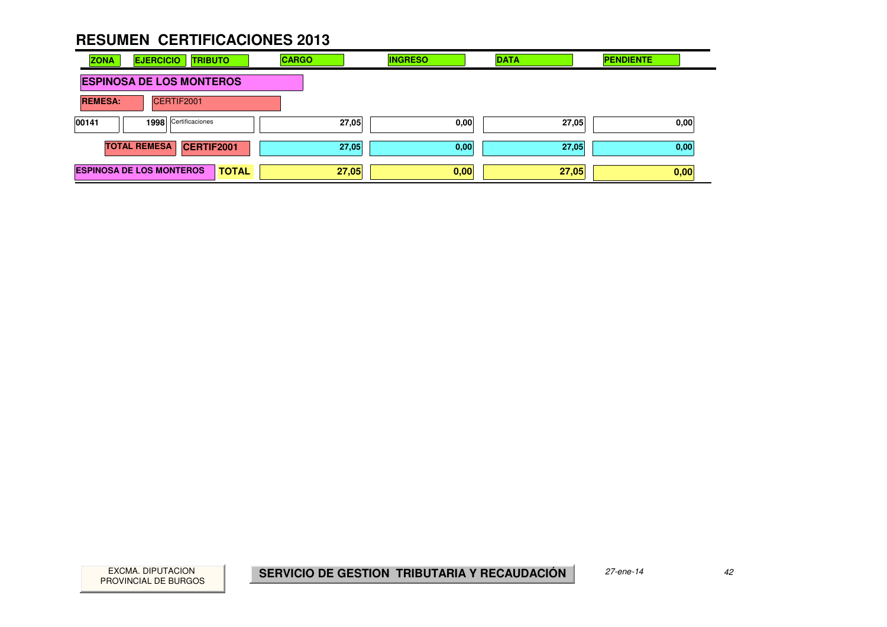| <b>ZONA</b><br><b>EJERCICIO</b><br><b>TRIBUTO</b> | <b>CARGO</b> | <b>INGRESO</b> | <b>DATA</b> | <b>PENDIENTE</b> |
|---------------------------------------------------|--------------|----------------|-------------|------------------|
| <b>ESPINOSA DE LOS MONTEROS</b>                   |              |                |             |                  |
| CERTIF2001<br><b>REMESA:</b>                      |              |                |             |                  |
| 1998 Certificaciones<br>00141                     | 27,05        | 0,00           | 27,05       | 0,00             |
| <b>TOTAL REMESA</b><br>CERTIF2001                 | 27,05        | 0,00           | 27,05       | 0,00             |
| <b>ESPINOSA DE LOS MONTEROS</b><br><b>TOTAL</b>   | 27,05        | 0,00           | 27,05       | 0,00             |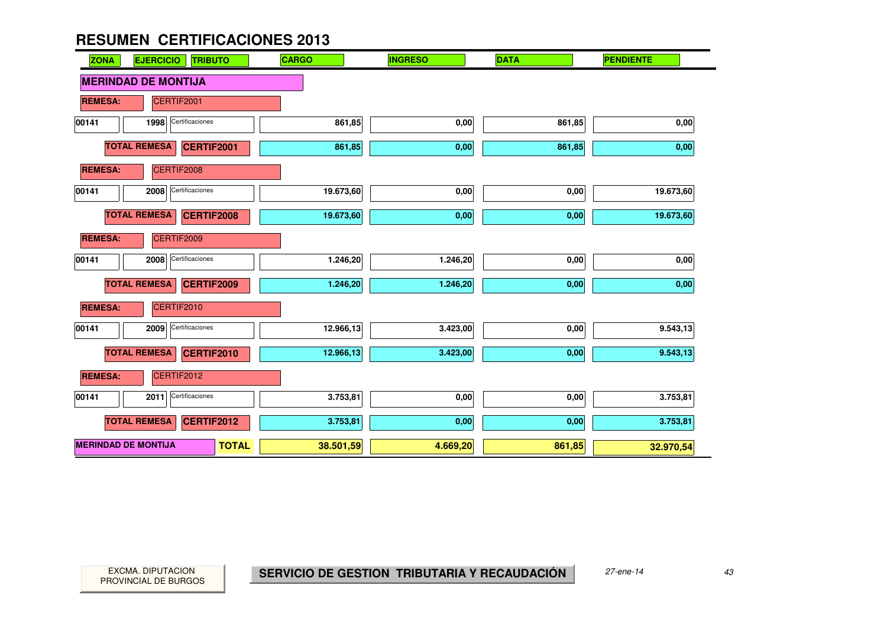| <b>ZONA</b>                | <b>EJERCICIO</b><br><b>TRIBUTO</b>       | <b>CARGO</b> | <b>INGRESO</b> | <b>DATA</b> | <b>PENDIENTE</b> |
|----------------------------|------------------------------------------|--------------|----------------|-------------|------------------|
|                            | <b>MERINDAD DE MONTIJA</b>               |              |                |             |                  |
| <b>REMESA:</b>             | CERTIF2001                               |              |                |             |                  |
| 00141                      | Certificaciones<br>1998                  | 861,85       | 0,00           | 861,85      | 0,00             |
|                            | <b>TOTAL REMESA</b><br>CERTIF2001        | 861,85       | 0,00           | 861,85      | 0,00             |
| <b>REMESA:</b>             | CERTIF2008                               |              |                |             |                  |
| 00141                      | Certificaciones<br>2008                  | 19.673,60    | 0,00           | 0,00        | 19.673,60        |
|                            | <b>TOTAL REMESA</b><br><b>CERTIF2008</b> | 19.673,60    | 0,00           | 0,00        | 19.673,60        |
| <b>REMESA:</b>             | CERTIF2009                               |              |                |             |                  |
| 00141                      | Certificaciones<br>2008                  | 1.246,20     | 1.246,20       | 0,00        | 0,00             |
|                            | <b>TOTAL REMESA</b><br><b>CERTIF2009</b> | 1.246,20     | 1.246,20       | 0,00        | 0,00             |
| <b>REMESA:</b>             | CERTIF2010                               |              |                |             |                  |
| 00141                      | Certificaciones<br>2009                  | 12.966,13    | 3.423,00       | 0,00        | 9.543,13         |
|                            | <b>TOTAL REMESA</b><br><b>CERTIF2010</b> | 12.966,13    | 3.423,00       | 0,00        | 9.543,13         |
| <b>REMESA:</b>             | CERTIF2012                               |              |                |             |                  |
| 00141                      | Certificaciones<br>2011                  | 3.753,81     | 0,00           | 0,00        | 3.753,81         |
|                            | <b>TOTAL REMESA</b><br><b>CERTIF2012</b> | 3.753,81     | 0,00           | 0,00        | 3.753,81         |
| <b>MERINDAD DE MONTIJA</b> | <b>TOTAL</b>                             | 38.501,59    | 4.669,20       | 861,85      | 32.970,54        |

 $\mathcal{L}_{\mathcal{A}}$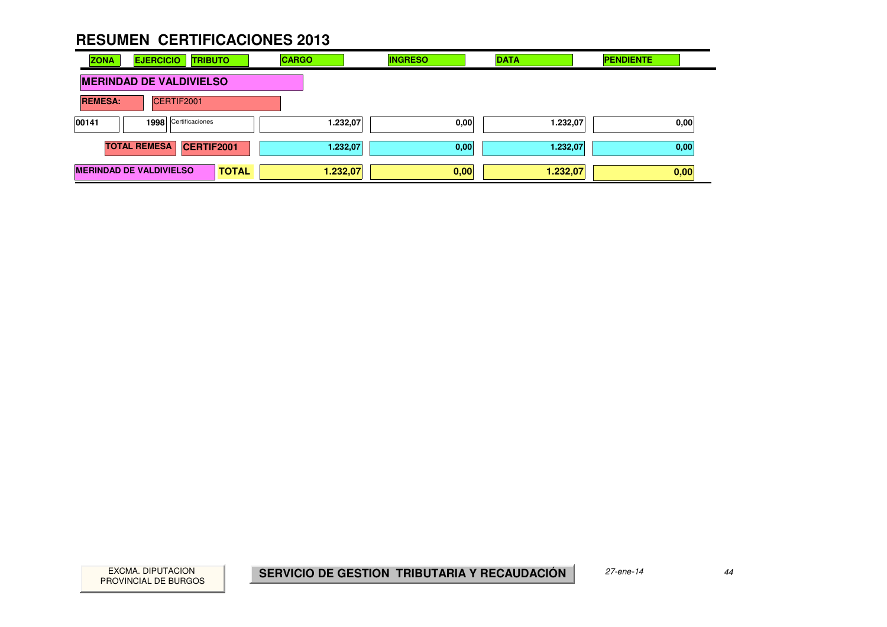| <b>ZONA</b>                                    | <b>EJERCICIO</b>    |                      | <b>TRIBUTO</b> | <b>CARGO</b> |          | <b>INGRESO</b> | <b>DATA</b> | <b>PENDIENTE</b> |      |
|------------------------------------------------|---------------------|----------------------|----------------|--------------|----------|----------------|-------------|------------------|------|
| <b>MERINDAD DE VALDIVIELSO</b>                 |                     |                      |                |              |          |                |             |                  |      |
| CERTIF2001<br><b>REMESA:</b>                   |                     |                      |                |              |          |                |             |                  |      |
| 00141                                          |                     | 1998 Certificaciones |                |              | 1.232,07 | 0,00           | 1.232,07    |                  | 0,00 |
|                                                | <b>TOTAL REMESA</b> |                      | CERTIF2001     |              | 1.232,07 | 0,00           | 1.232,07    |                  | 0,00 |
| <b>MERINDAD DE VALDIVIELSO</b><br><b>TOTAL</b> |                     |                      |                | 1.232,07     | 0,00     | 1.232,07       |             | 0,00             |      |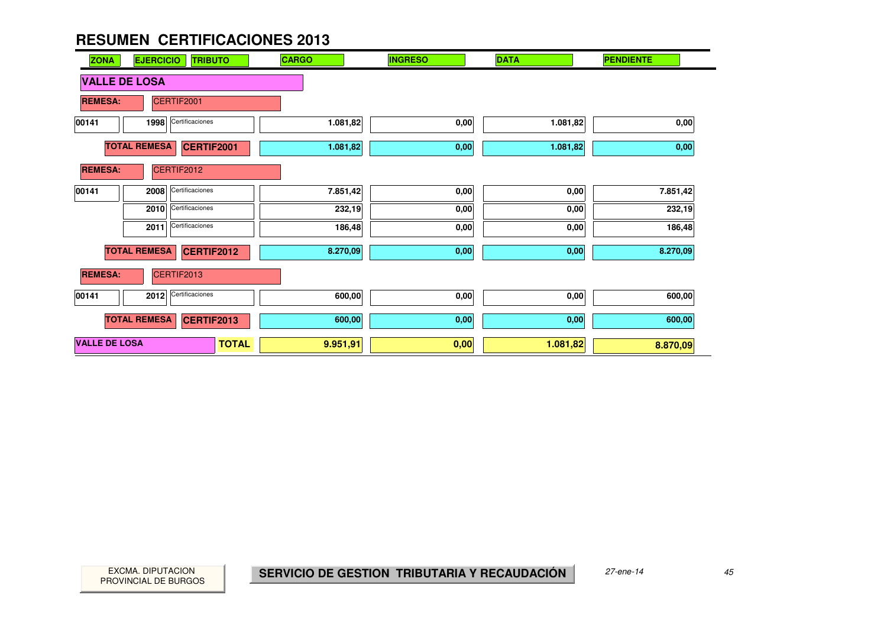| <b>ZONA</b>          | <b>EJERCICIO</b><br><b>TRIBUTO</b>       | <b>CARGO</b> | <b>INGRESO</b> | <b>DATA</b> | <b>PENDIENTE</b> |
|----------------------|------------------------------------------|--------------|----------------|-------------|------------------|
| <b>VALLE DE LOSA</b> |                                          |              |                |             |                  |
| <b>REMESA:</b>       | CERTIF2001                               |              |                |             |                  |
| 00141                | Certificaciones<br>1998                  | 1.081,82     | 0,00           | 1.081,82    | 0,00             |
|                      | <b>TOTAL REMESA</b><br><b>CERTIF2001</b> | 1.081,82     | 0,00           | 1.081,82    | 0,00             |
| <b>REMESA:</b>       | CERTIF2012                               |              |                |             |                  |
| 00141                | Certificaciones<br>2008                  | 7.851,42     | 0,00           | 0,00        | 7.851,42         |
|                      | Certificaciones<br>2010                  | 232,19       | 0,00           | 0,00        | 232,19           |
|                      | Certificaciones<br>2011                  | 186,48       | 0,00           | 0,00        | 186,48           |
|                      | <b>TOTAL REMESA</b><br><b>CERTIF2012</b> | 8.270,09     | 0,00           | 0,00        | 8.270,09         |
| <b>REMESA:</b>       | CERTIF2013                               |              |                |             |                  |
| 00141                | Certificaciones<br>2012                  | 600,00       | 0,00           | 0,00        | 600,00           |
|                      | <b>TOTAL REMESA</b><br><b>CERTIF2013</b> | 600,00       | 0,00           | 0,00        | 600,00           |
| <b>VALLE DE LOSA</b> | <b>TOTAL</b>                             | 9.951,91     | 0,00           | 1.081,82    | 8.870,09         |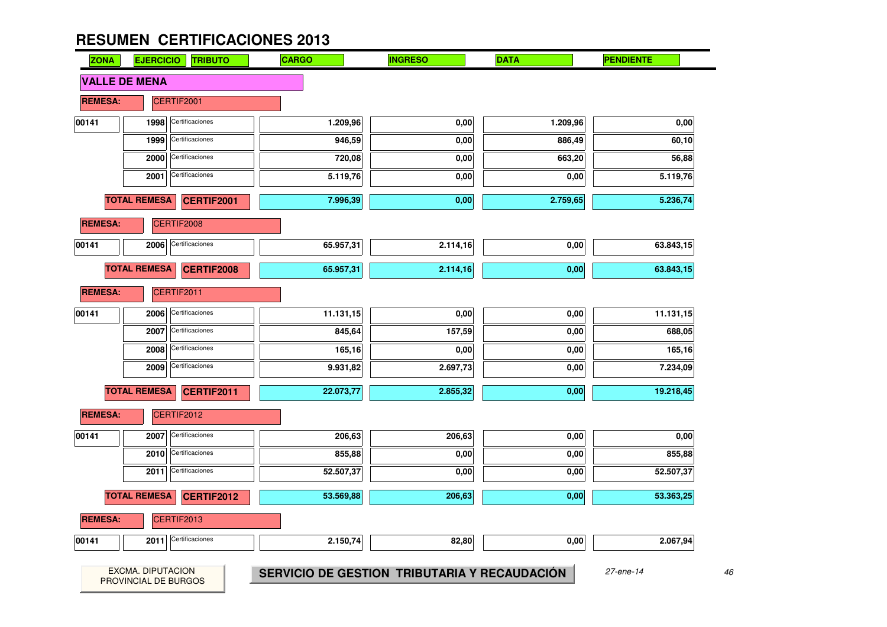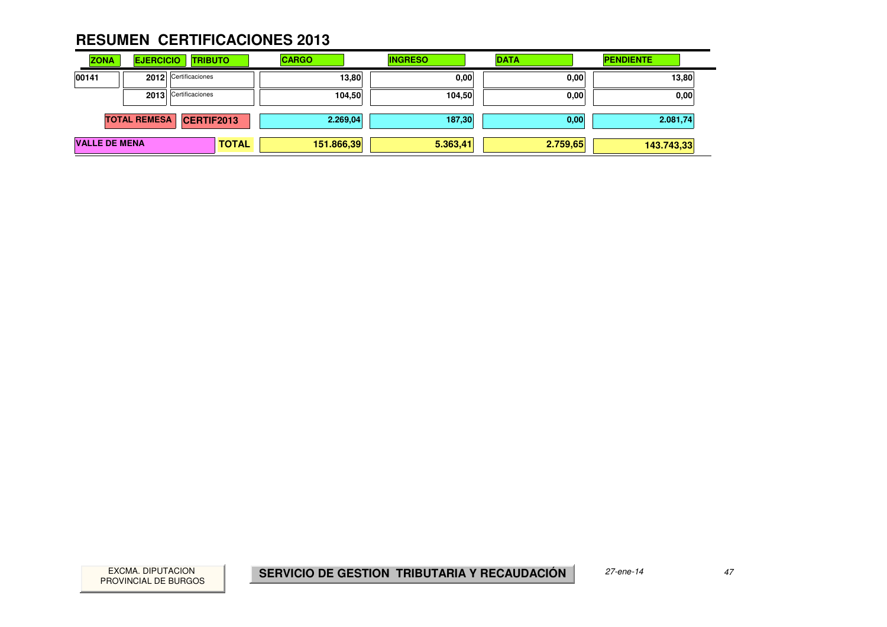| <b>ZONA</b>          | <b>EJERCICIO</b>    | <b>TRIBUTO</b>       | <b>CARGO</b> | <b>INGRESO</b> | <b>DATA</b> | <b>PENDIENTE</b> |
|----------------------|---------------------|----------------------|--------------|----------------|-------------|------------------|
| 00141                |                     | 2012 Certificaciones | 13,80        | 0.00           | 0,00        | 13,80            |
|                      |                     | 2013 Certificaciones | 104,50       | 104,50         | 0,00        | 0,00             |
|                      | <b>TOTAL REMESA</b> | CERTIF2013           | 2.269.04     | 187,30         | 0,00        | 2.081,74         |
| <b>VALLE DE MENA</b> |                     | <b>TOTAL</b>         | 151.866,39   | 5.363,41       | 2.759,65    | 143.743,33       |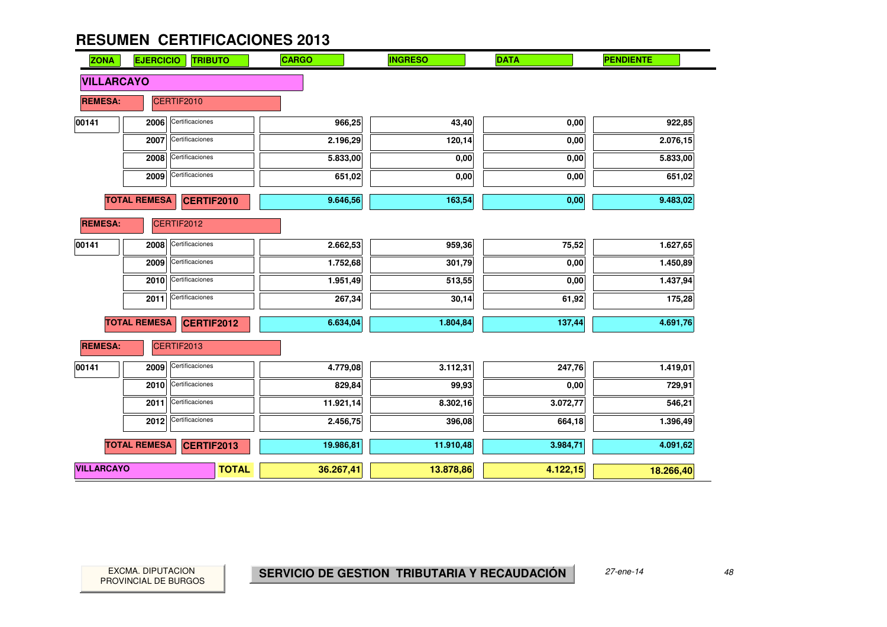| <b>ZONA</b>       | <b>EJERCICIO</b>    | <b>TRIBUTO</b>    | CARGO     | <b>INGRESO</b> | <b>DATA</b> | <b>PENDIENTE</b> |
|-------------------|---------------------|-------------------|-----------|----------------|-------------|------------------|
| <b>VILLARCAYO</b> |                     |                   |           |                |             |                  |
| <b>REMESA:</b>    |                     | CERTIF2010        |           |                |             |                  |
| 00141             | 2006                | Certificaciones   | 966,25    | 43,40          | 0,00        | 922,85           |
|                   | 2007                | Certificaciones   | 2.196,29  | 120,14         | 0,00        | 2.076,15         |
|                   | 2008                | Certificaciones   | 5.833,00  | 0,00           | 0,00        | 5.833,00         |
|                   | 2009                | Certificaciones   | 651,02    | 0,00           | 0,00        | 651,02           |
|                   | <b>TOTAL REMESA</b> | <b>CERTIF2010</b> | 9.646,56  | 163,54         | 0,00        | 9.483,02         |
| <b>REMESA:</b>    |                     | CERTIF2012        |           |                |             |                  |
| 00141             | 2008                | Certificaciones   | 2.662,53  | 959,36         | 75,52       | 1.627,65         |
|                   | 2009                | Certificaciones   | 1.752,68  | 301,79         | 0,00        | 1.450,89         |
|                   | 2010                | Certificaciones   | 1.951,49  | 513,55         | 0,00        | 1.437,94         |
|                   | 2011                | Certificaciones   | 267,34    | 30,14          | 61,92       | 175,28           |
|                   | <b>TOTAL REMESA</b> | <b>CERTIF2012</b> | 6.634,04  | 1.804,84       | 137,44      | 4.691,76         |
| <b>REMESA:</b>    |                     | CERTIF2013        |           |                |             |                  |
| 00141             | 2009                | Certificaciones   | 4.779,08  | 3.112,31       | 247,76      | 1.419,01         |
|                   | 2010                | Certificaciones   | 829,84    | 99,93          | 0,00        | 729,91           |
|                   | 2011                | Certificaciones   | 11.921,14 | 8.302,16       | 3.072,77    | 546,21           |
|                   | 2012                | Certificaciones   | 2.456,75  | 396,08         | 664,18      | 1.396,49         |
|                   | <b>TOTAL REMESA</b> | <b>CERTIF2013</b> | 19.986,81 | 11.910,48      | 3.984,71    | 4.091,62         |
| <b>VILLARCAYO</b> |                     | <b>TOTAL</b>      | 36.267,41 | 13.878,86      | 4.122,15    | 18.266,40        |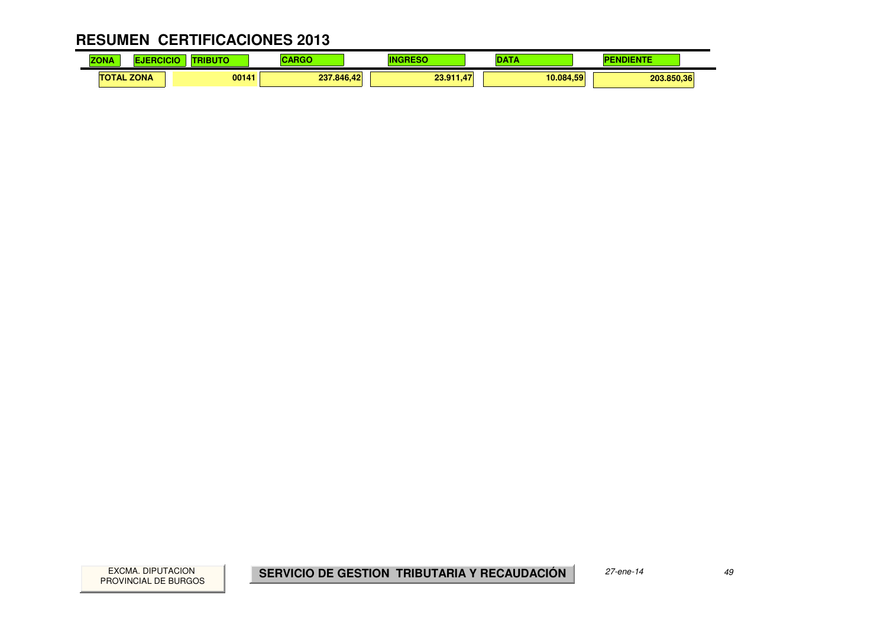#### **RESUMEN CERTIFICACIONES 2013** $\mathbf{r}$

| .<br>70<br><b>ZUNA</b>          | .     | --         |                          | --        | .          |
|---------------------------------|-------|------------|--------------------------|-----------|------------|
| <b>ZONA</b><br><b>TAL</b><br>ΤО | 00141 | 237.846,42 | 23.91<br>$\overline{47}$ | 10.084.59 | 203.850,36 |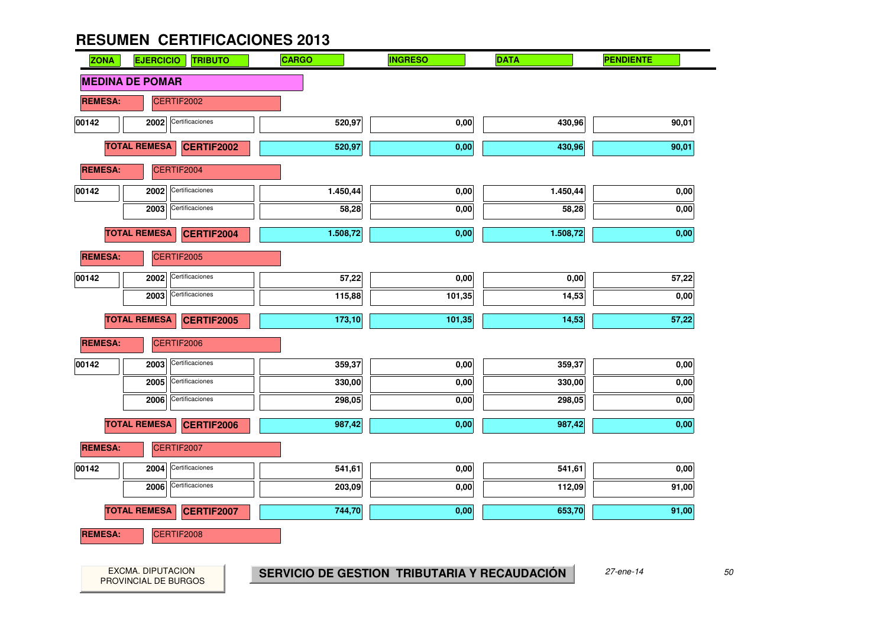| <b>ZONA</b>    | <b>EJERCICIO</b><br><b>TRIBUTO</b>       | <b>CARGO</b> | <b>INGRESO</b> | <b>DATA</b> | <b>PENDIENTE</b> |
|----------------|------------------------------------------|--------------|----------------|-------------|------------------|
|                | <b>MEDINA DE POMAR</b>                   |              |                |             |                  |
| <b>REMESA:</b> | CERTIF2002                               |              |                |             |                  |
| 00142          | Certificaciones<br>2002                  | 520,97       | 0,00           | 430,96      | 90,01            |
|                | <b>TOTAL REMESA</b><br>CERTIF2002        | 520,97       | 0,00           | 430,96      | 90,01            |
| <b>REMESA:</b> | CERTIF2004                               |              |                |             |                  |
| 00142          | Certificaciones<br>2002                  | 1.450,44     | 0,00           | 1.450,44    | 0,00             |
|                | Certificaciones<br>2003                  | 58,28        | 0,00           | 58,28       | 0,00             |
|                | <b>TOTAL REMESA</b><br>CERTIF2004        | 1.508,72     | 0,00           | 1.508,72    | 0,00             |
| <b>REMESA:</b> | CERTIF2005                               |              |                |             |                  |
| 00142          | Certificaciones<br>2002                  | 57,22        | 0,00           | 0,00        | 57,22            |
|                | Certificaciones<br>2003                  | 115,88       | 101,35         | 14,53       | 0,00             |
|                | <b>TOTAL REMESA</b><br>CERTIF2005        | 173,10       | 101,35         | 14,53       | 57,22            |
| <b>REMESA:</b> | CERTIF2006                               |              |                |             |                  |
| 00142          | Certificaciones<br>2003                  | 359,37       | 0,00           | 359,37      | 0,00             |
|                | Certificaciones<br>2005                  | 330,00       | 0,00           | 330,00      | 0,00             |
|                | Certificaciones<br>2006                  | 298,05       | 0,00           | 298,05      | 0,00             |
|                | <b>TOTAL REMESA</b><br>CERTIF2006        | 987,42       | 0,00           | 987,42      | 0,00             |
| <b>REMESA:</b> | CERTIF2007                               |              |                |             |                  |
| 00142          | Certificaciones<br>2004                  | 541,61       | 0,00           | 541,61      | 0,00             |
|                | Certificaciones<br>2006                  | 203,09       | 0,00           | 112,09      | 91,00            |
|                | <b>TOTAL REMESA</b><br><b>CERTIF2007</b> | 744,70       | 0,00           | 653,70      | 91,00            |
| <b>REMESA:</b> | CERTIF2008                               |              |                |             |                  |
|                |                                          |              |                |             |                  |
|                |                                          |              |                |             |                  |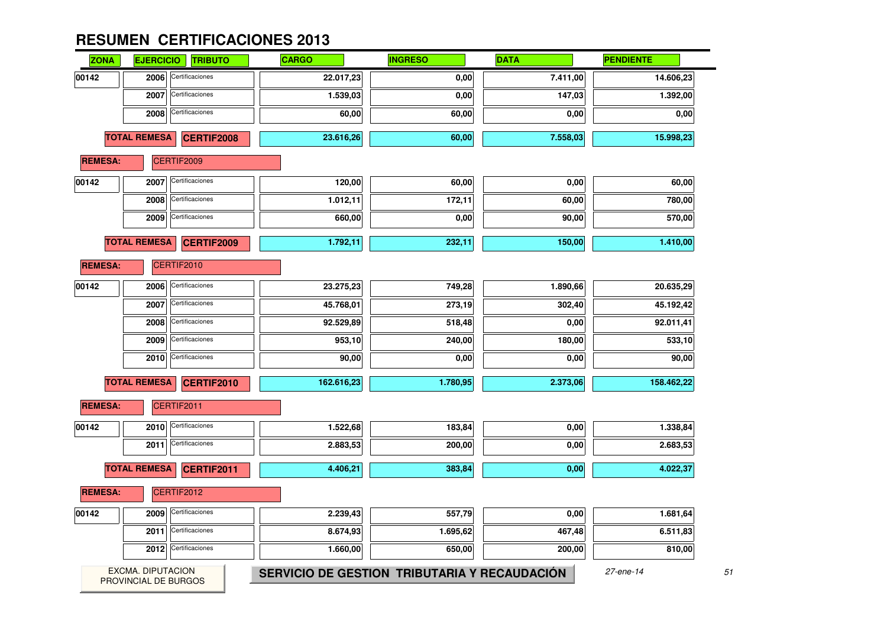| <b>EJERCICIO</b> | <b>TRIBUTO</b>  | <b>CARGO</b>                                                                                                                                     | <b>INGRESO</b> | <b>DATA</b> | <b>PENDIENTE</b> |
|------------------|-----------------|--------------------------------------------------------------------------------------------------------------------------------------------------|----------------|-------------|------------------|
| 2006             | Certificaciones | 22.017,23                                                                                                                                        | 0,00           | 7.411,00    | 14.606,23        |
| 2007             | Certificaciones | 1.539,03                                                                                                                                         | 0,00           | 147,03      | 1.392,00         |
| 2008             | Certificaciones | 60,00                                                                                                                                            | 60,00          | 0,00        | 0,00             |
|                  | CERTIF2008      | 23.616,26                                                                                                                                        | 60,00          | 7.558,03    | 15.998,23        |
| <b>REMESA:</b>   |                 |                                                                                                                                                  |                |             |                  |
| 2007             | Certificaciones | 120,00                                                                                                                                           | 60,00          | 0,00        | 60,00            |
| 2008             | Certificaciones | 1.012,11                                                                                                                                         | 172,11         | 60,00       | 780,00           |
| 2009             | Certificaciones | 660,00                                                                                                                                           | 0,00           | 90,00       | 570,00           |
|                  | CERTIF2009      | 1.792,11                                                                                                                                         | 232,11         | 150,00      | 1.410,00         |
| <b>REMESA:</b>   |                 |                                                                                                                                                  |                |             |                  |
| 2006             | Certificaciones | 23.275,23                                                                                                                                        | 749,28         | 1.890,66    | 20.635,29        |
| 2007             | Certificaciones | 45.768,01                                                                                                                                        | 273,19         | 302,40      | 45.192,42        |
| 2008             | Certificaciones | 92.529,89                                                                                                                                        | 518,48         | 0,00        | 92.011,41        |
| 2009             | Certificaciones | 953,10                                                                                                                                           | 240,00         | 180,00      | 533,10           |
| 2010             | Certificaciones | 90,00                                                                                                                                            | 0,00           | 0,00        | 90,00            |
|                  | CERTIF2010      | 162.616,23                                                                                                                                       | 1.780,95       | 2.373,06    | 158.462,22       |
| <b>REMESA:</b>   |                 |                                                                                                                                                  |                |             |                  |
| 2010             | Certificaciones | 1.522,68                                                                                                                                         | 183,84         | 0,00        | 1.338,84         |
| 2011             | Certificaciones | 2.883,53                                                                                                                                         | 200,00         | 0,00        | 2.683,53         |
|                  | CERTIF2011      | 4.406,21                                                                                                                                         | 383,84         | 0,00        | 4.022,37         |
| <b>REMESA:</b>   |                 |                                                                                                                                                  |                |             |                  |
| 2009             | Certificaciones | 2.239,43                                                                                                                                         | 557,79         | 0,00        | 1.681,64         |
| 2011             | Certificaciones | 8.674,93                                                                                                                                         | 1.695,62       | 467,48      | 6.511,83         |
|                  | Certificaciones | 1.660,00                                                                                                                                         | 650,00         | 200,00      | 810,00           |
|                  |                 | <b>TOTAL REMESA</b><br>CERTIF2009<br><b>TOTAL REMESA</b><br>CERTIF2010<br><b>TOTAL REMESA</b><br>CERTIF2011<br><b>TOTAL REMESA</b><br>CERTIF2012 |                |             |                  |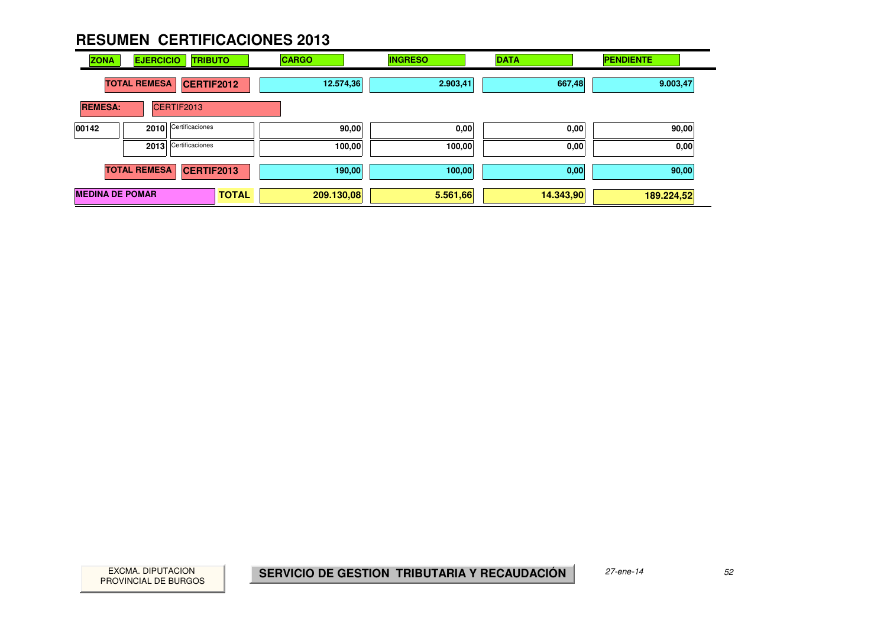| <b>ZONA</b>            | <b>EJERCICIO</b>    | <b>TRIBUTO</b>       | <b>CARGO</b> | <b>INGRESO</b> | <b>DATA</b> | <b>PENDIENTE</b> |
|------------------------|---------------------|----------------------|--------------|----------------|-------------|------------------|
|                        | <b>TOTAL REMESA</b> | <b>CERTIF2012</b>    | 12.574,36    | 2.903,41       | 667,48      | 9.003,47         |
| <b>REMESA:</b>         |                     | CERTIF2013           |              |                |             |                  |
| 00142                  |                     | 2010 Certificaciones | 90,00        | 0,00           | 0,00        | 90,00            |
|                        |                     | 2013 Certificaciones | 100,00       | 100,00         | 0,00        | 0,00             |
|                        | <b>TOTAL REMESA</b> | <b>CERTIF2013</b>    | 190,00       | 100,00         | 0,00        | 90,00            |
| <b>MEDINA DE POMAR</b> |                     | <b>TOTAL</b>         | 209.130,08   | 5.561,66       | 14.343,90   | 189.224,52       |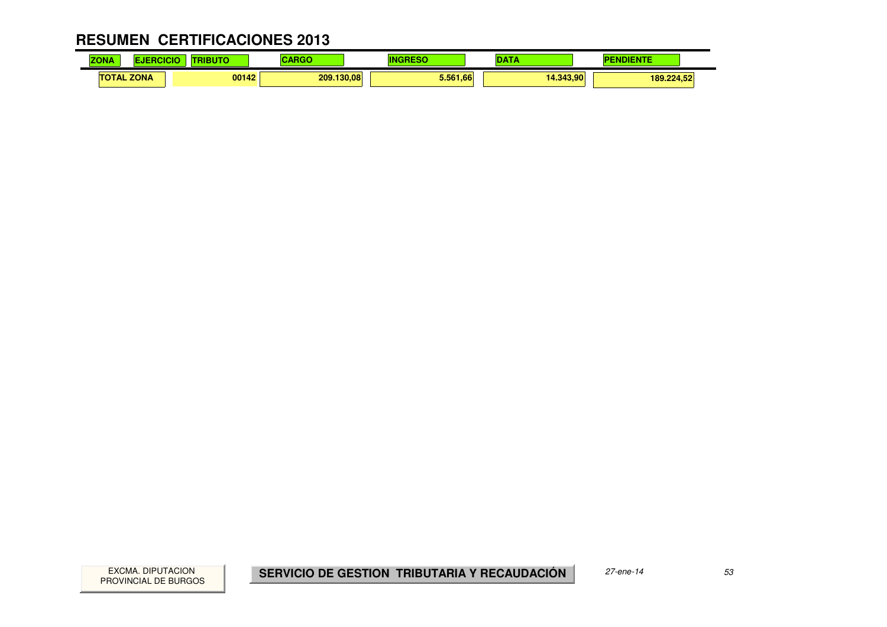#### **RESUMEN CERTIFICACIONES 2013** $\mathbf{r}$

| <b>COLOR</b><br>ΖO<br>NÆ | . .         | .     | $-1$       | m             | . .       |            |
|--------------------------|-------------|-------|------------|---------------|-----------|------------|
| ΤО<br><b>TAL</b>         | <b>ZONA</b> | 00142 | 209.130,08 | 5.561<br>1.66 | 14.343.90 | 189.224,52 |